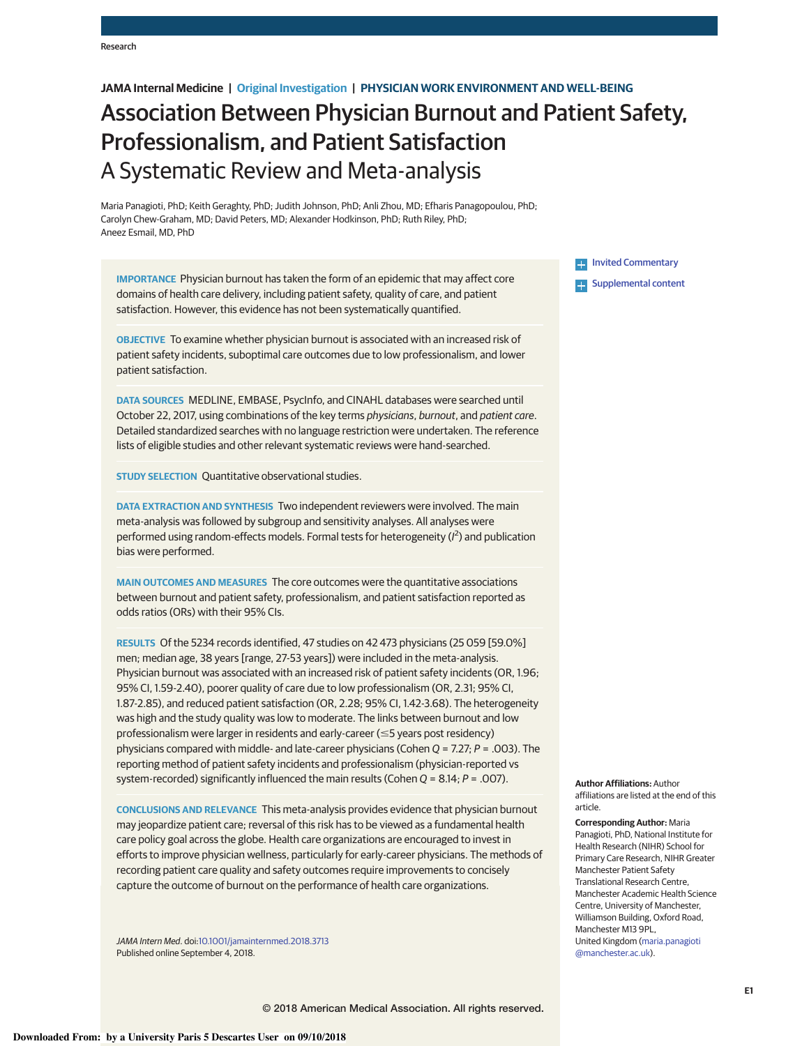# **JAMA Internal Medicine | Original Investigation | PHYSICIAN WORK ENVIRONMENT AND WELL-BEING**

# Association Between Physician Burnout and Patient Safety, Professionalism, and Patient Satisfaction A Systematic Review and Meta-analysis

Maria Panagioti, PhD; Keith Geraghty, PhD; Judith Johnson, PhD; Anli Zhou, MD; Efharis Panagopoulou, PhD; Carolyn Chew-Graham, MD; David Peters, MD; Alexander Hodkinson, PhD; Ruth Riley, PhD; Aneez Esmail, MD, PhD

**IMPORTANCE** Physician burnout has taken the form of an epidemic that may affect core domains of health care delivery, including patient safety, quality of care, and patient satisfaction. However, this evidence has not been systematically quantified.

**OBJECTIVE** To examine whether physician burnout is associated with an increased risk of patient safety incidents, suboptimal care outcomes due to low professionalism, and lower patient satisfaction.

**DATA SOURCES** MEDLINE, EMBASE, PsycInfo, and CINAHL databases were searched until October 22, 2017, using combinations of the key terms *physicians*, *burnout*, and *patient care*. Detailed standardized searches with no language restriction were undertaken. The reference lists of eligible studies and other relevant systematic reviews were hand-searched.

**STUDY SELECTION** Quantitative observational studies.

**DATA EXTRACTION AND SYNTHESIS** Two independent reviewers were involved. The main meta-analysis was followed by subgroup and sensitivity analyses. All analyses were performed using random-effects models. Formal tests for heterogeneity (*I* 2 ) and publication bias were performed.

**MAIN OUTCOMES AND MEASURES** The core outcomes were the quantitative associations between burnout and patient safety, professionalism, and patient satisfaction reported as odds ratios (ORs) with their 95% CIs.

**RESULTS** Of the 5234 records identified, 47 studies on 42 473 physicians (25 059 [59.0%] men; median age, 38 years [range, 27-53 years]) were included in the meta-analysis. Physician burnout was associated with an increased risk of patient safety incidents (OR, 1.96; 95% CI, 1.59-2.40), poorer quality of care due to low professionalism (OR, 2.31; 95% CI, 1.87-2.85), and reduced patient satisfaction (OR, 2.28; 95% CI, 1.42-3.68). The heterogeneity was high and the study quality was low to moderate. The links between burnout and low professionalism were larger in residents and early-career ( $\leq$ 5 years post residency) physicians compared with middle- and late-career physicians (Cohen *Q* = 7.27; *P* = .003). The reporting method of patient safety incidents and professionalism (physician-reported vs system-recorded) significantly influenced the main results (Cohen *Q* = 8.14; *P* = .007).

**CONCLUSIONS AND RELEVANCE** This meta-analysis provides evidence that physician burnout may jeopardize patient care; reversal of this risk has to be viewed as a fundamental health care policy goal across the globe. Health care organizations are encouraged to invest in efforts to improve physician wellness, particularly for early-career physicians. The methods of recording patient care quality and safety outcomes require improvements to concisely capture the outcome of burnout on the performance of health care organizations.

*JAMA Intern Med*. doi[:10.1001/jamainternmed.2018.3713](https://jama.jamanetwork.com/article.aspx?doi=10.1001/jamainternmed.2018.3713&utm_campaign=articlePDF%26utm_medium=articlePDFlink%26utm_source=articlePDF%26utm_content=jamainternmed.2018.3713) Published online September 4, 2018.

**E-** [Invited Commentary](https://jama.jamanetwork.com/article.aspx?doi=10.1001/jamainternmed.2018.3708&utm_campaign=articlePDF%26utm_medium=articlePDFlink%26utm_source=articlePDF%26utm_content=jamainternmed.2018.3713) **Examplemental content** 

**Author Affiliations:** Author affiliations are listed at the end of this article.

**Corresponding Author:** Maria Panagioti, PhD, National Institute for Health Research (NIHR) School for Primary Care Research, NIHR Greater Manchester Patient Safety Translational Research Centre, Manchester Academic Health Science Centre, University of Manchester, Williamson Building, Oxford Road, Manchester M13 9PL, United Kingdom [\(maria.panagioti](mailto:maria.panagioti@manchester.ac.uk) [@manchester.ac.uk\)](mailto:maria.panagioti@manchester.ac.uk).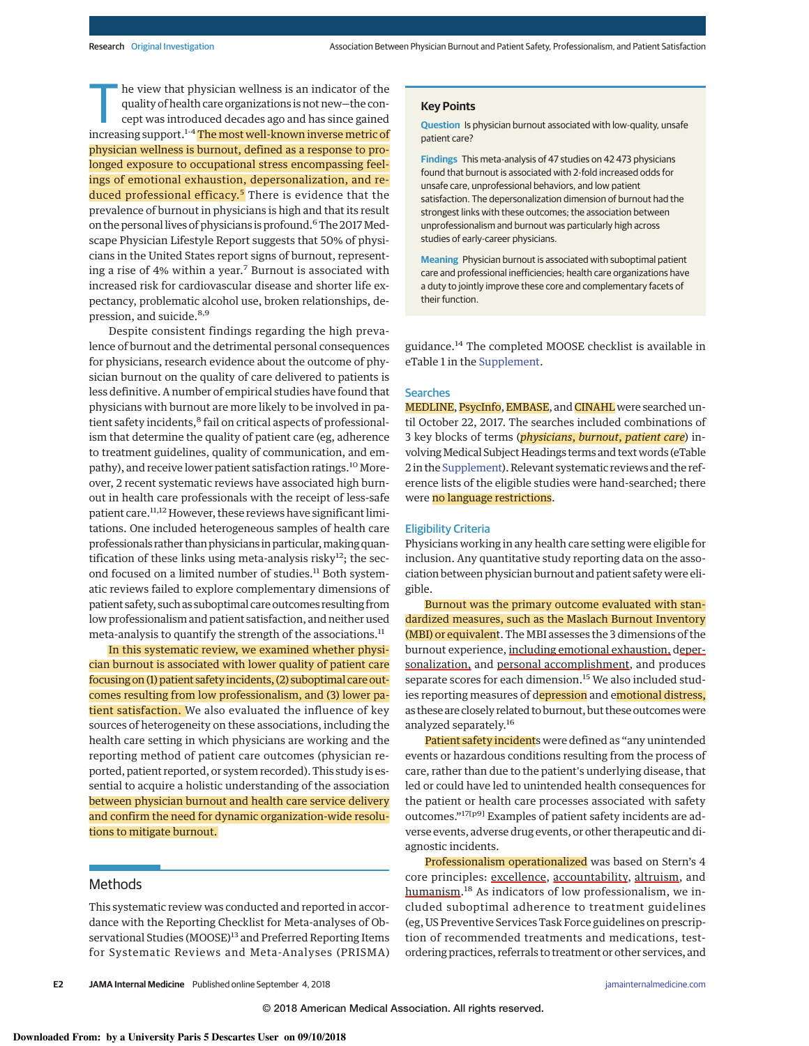The view that physician wellness is an indicator of the quality of health care organizations is not new-the concept was introduced decades ago and has since gained quality of health care organizations is not new—the conincreasing support.<sup>1-4</sup> The most well-known inverse metric of physician wellness is burnout, defined as a response to prolonged exposure to occupational stress encompassing feelings of emotional exhaustion, depersonalization, and reduced professional efficacy.<sup>5</sup> There is evidence that the prevalence of burnout in physicians is high and that its result on the personal lives of physicians is profound.<sup>6</sup> The 2017 Medscape Physician Lifestyle Report suggests that 50% of physicians in the United States report signs of burnout, representing a rise of 4% within a year.<sup>7</sup> Burnout is associated with increased risk for cardiovascular disease and shorter life expectancy, problematic alcohol use, broken relationships, depression, and suicide.<sup>8,9</sup>

Despite consistent findings regarding the high prevalence of burnout and the detrimental personal consequences for physicians, research evidence about the outcome of physician burnout on the quality of care delivered to patients is less definitive. A number of empirical studies have found that physicians with burnout are more likely to be involved in patient safety incidents,<sup>8</sup> fail on critical aspects of professionalism that determine the quality of patient care (eg, adherence to treatment guidelines, quality of communication, and empathy), and receive lower patient satisfaction ratings.<sup>10</sup> Moreover, 2 recent systematic reviews have associated high burnout in health care professionals with the receipt of less-safe patient care.<sup>11,12</sup> However, these reviews have significant limitations. One included heterogeneous samples of health care professionals rather than physicians in particular, making quantification of these links using meta-analysis risky $12$ ; the second focused on a limited number of studies.<sup>11</sup> Both systematic reviews failed to explore complementary dimensions of patient safety, such as suboptimal care outcomes resulting from low professionalism and patient satisfaction, and neither used meta-analysis to quantify the strength of the associations.<sup>11</sup>

In this systematic review, we examined whether physician burnout is associated with lower quality of patient care focusing on (1) patient safety incidents, (2) suboptimal care outcomes resulting from low professionalism, and (3) lower patient satisfaction. We also evaluated the influence of key sources of heterogeneity on these associations, including the health care setting in which physicians are working and the reporting method of patient care outcomes (physician reported, patient reported, or system recorded). This study is essential to acquire a holistic understanding of the association between physician burnout and health care service delivery and confirm the need for dynamic organization-wide resolutions to mitigate burnout.

# Methods

This systematic review was conducted and reported in accordance with the Reporting Checklist for Meta-analyses of Observational Studies (MOOSE)<sup>13</sup> and Preferred Reporting Items for Systematic Reviews and Meta-Analyses (PRISMA) **Question** Is physician burnout associated with low-quality, unsafe patient care?

**Findings** This meta-analysis of 47 studies on 42 473 physicians found that burnout is associated with 2-fold increased odds for unsafe care, unprofessional behaviors, and low patient satisfaction. The depersonalization dimension of burnout had the strongest links with these outcomes; the association between unprofessionalism and burnout was particularly high across studies of early-career physicians.

**Meaning** Physician burnout is associated with suboptimal patient care and professional inefficiencies; health care organizations have a duty to jointly improve these core and complementary facets of their function.

guidance.<sup>14</sup> The completed MOOSE checklist is available in eTable 1 in the [Supplement.](https://jama.jamanetwork.com/article.aspx?doi=10.1001/jamainternmed.2018.3713&utm_campaign=articlePDF%26utm_medium=articlePDFlink%26utm_source=articlePDF%26utm_content=jamainternmed.2018.3713)

## **Searches**

MEDLINE, PsycInfo, EMBASE, and CINAHL were searched until October 22, 2017. The searches included combinations of 3 key blocks of terms (*physicians*, *burnout*, *patient care*) involvingMedical Subject Headings terms and text words (eTable 2 in the [Supplement\)](https://jama.jamanetwork.com/article.aspx?doi=10.1001/jamainternmed.2018.3713&utm_campaign=articlePDF%26utm_medium=articlePDFlink%26utm_source=articlePDF%26utm_content=jamainternmed.2018.3713). Relevant systematic reviews and the reference lists of the eligible studies were hand-searched; there were no language restrictions.

## Eligibility Criteria

Physicians working in any health care setting were eligible for inclusion. Any quantitative study reporting data on the association between physician burnout and patient safety were eligible.

Burnout was the primary outcome evaluated with standardized measures, such as the Maslach Burnout Inventory (MBI) or equivalent. The MBI assesses the 3 dimensions of the burnout experience, including emotional exhaustion, depersonalization, and personal accomplishment, and produces separate scores for each dimension.<sup>15</sup> We also included studies reporting measures of depression and emotional distress, as these are closely related to burnout, but these outcomes were analyzed separately.<sup>16</sup>

Patient safety incidents were defined as "any unintended events or hazardous conditions resulting from the process of care, rather than due to the patient's underlying disease, that led or could have led to unintended health consequences for the patient or health care processes associated with safety outcomes."17[p9] Examples of patient safety incidents are adverse events, adverse drug events, or other therapeutic and diagnostic incidents.

Professionalism operationalized was based on Stern's 4 core principles: excellence, accountability, altruism, and humanism.<sup>18</sup> As indicators of low professionalism, we included suboptimal adherence to treatment guidelines (eg, US Preventive Services Task Force guidelines on prescription of recommended treatments and medications, testordering practices, referrals to treatment or other services, and

**E2 JAMA Internal Medicine** Published online September 4, 2018 **(Reprinted)** [jamainternalmedicine.com](http://www.jamainternalmedicine.com/?utm_campaign=articlePDF%26utm_medium=articlePDFlink%26utm_source=articlePDF%26utm_content=jamainternmed.2018.3713)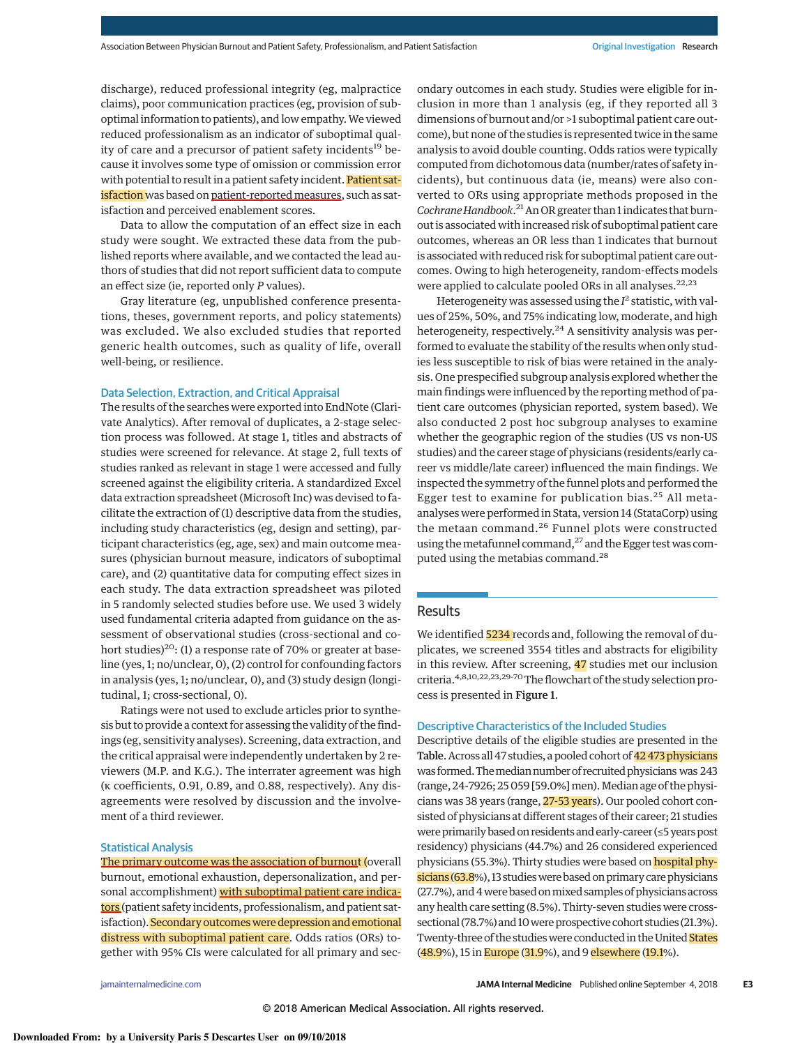discharge), reduced professional integrity (eg, malpractice claims), poor communication practices (eg, provision of suboptimal information to patients), and low empathy.We viewed reduced professionalism as an indicator of suboptimal quality of care and a precursor of patient safety incidents<sup>19</sup> because it involves some type of omission or commission error with potential to result in a patient safety incident. Patient satisfaction was based on patient-reported measures, such as satisfaction and perceived enablement scores.

Data to allow the computation of an effect size in each study were sought. We extracted these data from the published reports where available, and we contacted the lead authors of studies that did not report sufficient data to compute an effect size (ie, reported only *P* values).

Gray literature (eg, unpublished conference presentations, theses, government reports, and policy statements) was excluded. We also excluded studies that reported generic health outcomes, such as quality of life, overall well-being, or resilience.

#### Data Selection, Extraction, and Critical Appraisal

The results of the searches were exported into EndNote (Clarivate Analytics). After removal of duplicates, a 2-stage selection process was followed. At stage 1, titles and abstracts of studies were screened for relevance. At stage 2, full texts of studies ranked as relevant in stage 1 were accessed and fully screened against the eligibility criteria. A standardized Excel data extraction spreadsheet (Microsoft Inc) was devised to facilitate the extraction of (1) descriptive data from the studies, including study characteristics (eg, design and setting), participant characteristics (eg, age, sex) and main outcome measures (physician burnout measure, indicators of suboptimal care), and (2) quantitative data for computing effect sizes in each study. The data extraction spreadsheet was piloted in 5 randomly selected studies before use. We used 3 widely used fundamental criteria adapted from guidance on the assessment of observational studies (cross-sectional and cohort studies)<sup>20</sup>: (1) a response rate of 70% or greater at baseline (yes, 1; no/unclear, 0), (2) control for confounding factors in analysis (yes, 1; no/unclear, 0), and (3) study design (longitudinal, 1; cross-sectional, 0).

Ratings were not used to exclude articles prior to synthesis but to provide a context for assessing the validity of the findings (eg, sensitivity analyses). Screening, data extraction, and the critical appraisal were independently undertaken by 2 reviewers (M.P. and K.G.). The interrater agreement was high (κ coefficients, 0.91, 0.89, and 0.88, respectively). Any disagreements were resolved by discussion and the involvement of a third reviewer.

# Statistical Analysis

The primary outcome was the association of burnout (overall burnout, emotional exhaustion, depersonalization, and personal accomplishment) with suboptimal patient care indicators (patient safety incidents, professionalism, and patient satisfaction). Secondary outcomes were depression and emotional distress with suboptimal patient care. Odds ratios (ORs) together with 95% CIs were calculated for all primary and secondary outcomes in each study. Studies were eligible for inclusion in more than 1 analysis (eg, if they reported all 3 dimensions of burnout and/or >1 suboptimal patient care outcome), but none of the studies is represented twice in the same analysis to avoid double counting. Odds ratios were typically computed from dichotomous data (number/rates of safety incidents), but continuous data (ie, means) were also converted to ORs using appropriate methods proposed in the Cochrane Handbook.<sup>21</sup> An OR greater than 1 indicates that burnout is associated with increased risk of suboptimal patient care outcomes, whereas an OR less than 1 indicates that burnout is associated with reduced risk for suboptimal patient care outcomes. Owing to high heterogeneity, random-effects models were applied to calculate pooled ORs in all analyses. $22,23$ 

Heterogeneity was assessed using the *I* <sup>2</sup> statistic, with values of 25%, 50%, and 75% indicating low, moderate, and high heterogeneity, respectively.<sup>24</sup> A sensitivity analysis was performed to evaluate the stability of the results when only studies less susceptible to risk of bias were retained in the analysis. One prespecified subgroup analysis explored whether the main findings were influenced by the reporting method of patient care outcomes (physician reported, system based). We also conducted 2 post hoc subgroup analyses to examine whether the geographic region of the studies (US vs non-US studies) and the career stage of physicians (residents/early career vs middle/late career) influenced the main findings. We inspected the symmetry of the funnel plots and performed the Egger test to examine for publication bias.<sup>25</sup> All metaanalyses were performed in Stata, version 14 (StataCorp) using the metaan command.<sup>26</sup> Funnel plots were constructed using the metafunnel command,<sup>27</sup> and the Egger test was computed using the metabias command.<sup>28</sup>

# Results

We identified 5234 records and, following the removal of duplicates, we screened 3554 titles and abstracts for eligibility in this review. After screening, 47 studies met our inclusion criteria.4,8,10,22,23,29-<sup>70</sup> The flowchart of the study selection process is presented in Figure 1.

# Descriptive Characteristics of the Included Studies

Descriptive details of the eligible studies are presented in the Table. Across all 47 studies, a pooled cohort of 42 473 physicians was formed. The median number of recruited physicians was 243 (range,24-7926;25 059[59.0%]men).Median age of the physicians was 38 years (range, 27-53 years). Our pooled cohort consisted of physicians at different stages of their career; 21 studies were primarily based on residents and early-career (≤5years post residency) physicians (44.7%) and 26 considered experienced physicians (55.3%). Thirty studies were based on **hospital phy**sicians (63.8%), 13 studies were based on primary care physicians (27.7%), and 4 were based on mixed samples of physicians across any health care setting (8.5%). Thirty-seven studies were crosssectional (78.7%) and 10 were prospective cohort studies (21.3%). Twenty-three of the studies were conducted in the United States (48.9%), 15 in Europe (31.9%), and 9 elsewhere (19.1%).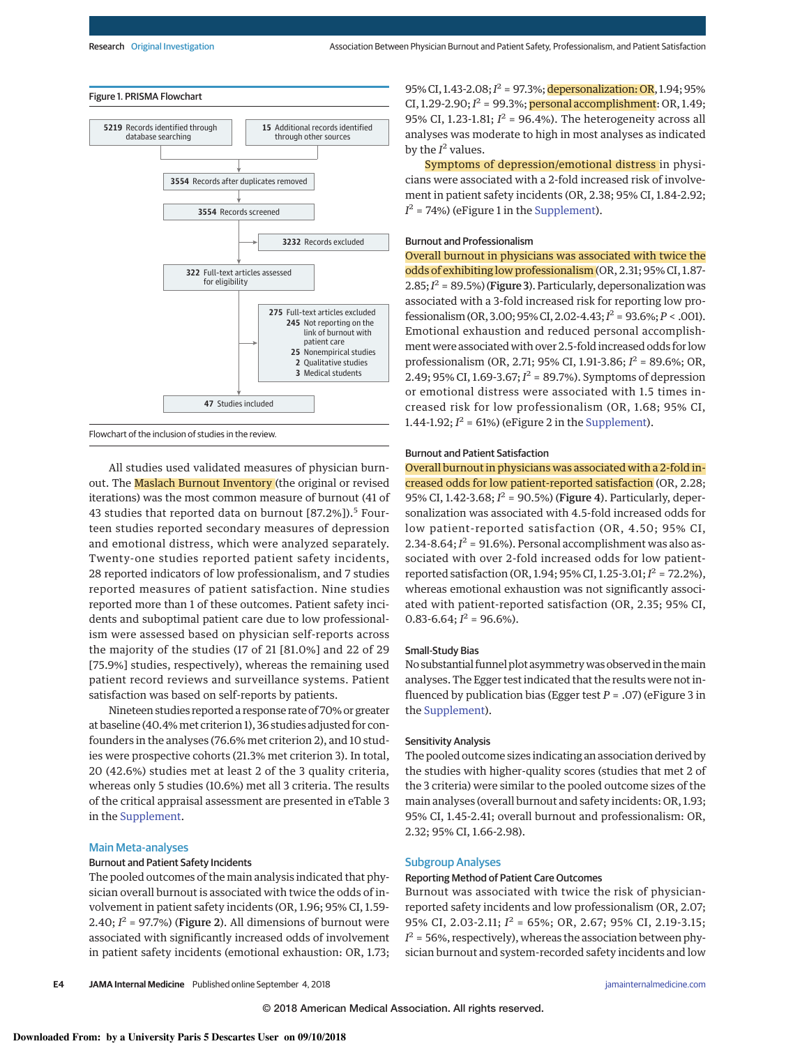

Flowchart of the inclusion of studies in the review.

All studies used validated measures of physician burnout. The Maslach Burnout Inventory (the original or revised iterations) was the most common measure of burnout (41 of 43 studies that reported data on burnout [87.2%]).<sup>5</sup> Fourteen studies reported secondary measures of depression and emotional distress, which were analyzed separately. Twenty-one studies reported patient safety incidents, 28 reported indicators of low professionalism, and 7 studies reported measures of patient satisfaction. Nine studies reported more than 1 of these outcomes. Patient safety incidents and suboptimal patient care due to low professionalism were assessed based on physician self-reports across the majority of the studies (17 of 21 [81.0%] and 22 of 29 [75.9%] studies, respectively), whereas the remaining used patient record reviews and surveillance systems. Patient satisfaction was based on self-reports by patients.

Nineteen studies reported a response rate of 70% or greater at baseline (40.4% met criterion 1), 36 studies adjusted for confounders in the analyses (76.6% met criterion 2), and 10 studies were prospective cohorts (21.3% met criterion 3). In total, 20 (42.6%) studies met at least 2 of the 3 quality criteria, whereas only 5 studies (10.6%) met all 3 criteria. The results of the critical appraisal assessment are presented in eTable 3 in the [Supplement.](https://jama.jamanetwork.com/article.aspx?doi=10.1001/jamainternmed.2018.3713&utm_campaign=articlePDF%26utm_medium=articlePDFlink%26utm_source=articlePDF%26utm_content=jamainternmed.2018.3713)

# Main Meta-analyses

# Burnout and Patient Safety Incidents

The pooled outcomes of the main analysis indicated that physician overall burnout is associated with twice the odds of involvement in patient safety incidents (OR, 1.96; 95% CI, 1.59-  $2.40; I<sup>2</sup> = 97.7%)$  (Figure 2). All dimensions of burnout were associated with significantly increased odds of involvement in patient safety incidents (emotional exhaustion: OR, 1.73;

95% CI, 1.43-2.08;*I* <sup>2</sup> = 97.3%; depersonalization: OR, 1.94;95% CI, 1.29-2.90;*I* <sup>2</sup> = 99.3%; personal accomplishment: OR, 1.49; 95% CI, 1.23-1.81;  $I^2 = 96.4$ %). The heterogeneity across all analyses was moderate to high in most analyses as indicated by the  $I^2$  values.

Symptoms of depression/emotional distress in physicians were associated with a 2-fold increased risk of involvement in patient safety incidents (OR, 2.38; 95% CI, 1.84-2.92;  $I^2 = 74\%)$  (eFigure 1 in the [Supplement\)](https://jama.jamanetwork.com/article.aspx?doi=10.1001/jamainternmed.2018.3713&utm_campaign=articlePDF%26utm_medium=articlePDFlink%26utm_source=articlePDF%26utm_content=jamainternmed.2018.3713).

# Burnout and Professionalism

Overall burnout in physicians was associated with twice the odds of exhibiting low professionalism (OR, 2.31; 95% CI, 1.87-  $2.85; I<sup>2</sup> = 89.5%)$  (Figure 3). Particularly, depersonalization was associated with a 3-fold increased risk for reporting low professionalism (OR,3.00;95% CI,2.02-4.43;*I* <sup>2</sup> = 93.6%;*P* < .001). Emotional exhaustion and reduced personal accomplishment were associated with over 2.5-fold increased odds for low professionalism (OR, 2.71; 95% CI, 1.91-3.86; *I* <sup>2</sup> = 89.6%; OR,  $2.49;95\%$  CI,  $1.69-3.67; I<sup>2</sup> = 89.7\%).$  Symptoms of depression or emotional distress were associated with 1.5 times increased risk for low professionalism (OR, 1.68; 95% CI, 1.44-1.92;  $I^2 = 61\%)$  (eFigure 2 in the [Supplement\)](https://jama.jamanetwork.com/article.aspx?doi=10.1001/jamainternmed.2018.3713&utm_campaign=articlePDF%26utm_medium=articlePDFlink%26utm_source=articlePDF%26utm_content=jamainternmed.2018.3713).

#### Burnout and Patient Satisfaction

Overall burnout in physicians was associated with a 2-fold increased odds for low patient-reported satisfaction (OR, 2.28; 95% CI,  $1.42 - 3.68$ ;  $I^2 = 90.5$ %) (**Figure 4**). Particularly, depersonalization was associated with 4.5-fold increased odds for low patient-reported satisfaction (OR, 4.50; 95% CI,  $2.34 - 8.64$ ;  $I^2 = 91.6$ %). Personal accomplishment was also associated with over 2-fold increased odds for low patientreported satisfaction (OR, 1.94; 95% CI, 1.25-3.01;  $I^2$  = 72.2%), whereas emotional exhaustion was not significantly associated with patient-reported satisfaction (OR, 2.35; 95% CI,  $0.83 - 6.64; I^2 = 96.6\%$ ).

## Small-Study Bias

No substantial funnel plot asymmetrywas observed in themain analyses. The Egger test indicated that the results were not influenced by publication bias (Egger test *P* = .07) (eFigure 3 in the [Supplement\)](https://jama.jamanetwork.com/article.aspx?doi=10.1001/jamainternmed.2018.3713&utm_campaign=articlePDF%26utm_medium=articlePDFlink%26utm_source=articlePDF%26utm_content=jamainternmed.2018.3713).

## Sensitivity Analysis

The pooled outcome sizes indicating an association derived by the studies with higher-quality scores (studies that met 2 of the 3 criteria) were similar to the pooled outcome sizes of the main analyses (overall burnout and safety incidents: OR, 1.93; 95% CI, 1.45-2.41; overall burnout and professionalism: OR, 2.32; 95% CI, 1.66-2.98).

#### Subgroup Analyses

## Reporting Method of Patient Care Outcomes

Burnout was associated with twice the risk of physicianreported safety incidents and low professionalism (OR, 2.07; 95% CI, 2.03-2.11; *I* <sup>2</sup> = 65%; OR, 2.67; 95% CI, 2.19-3.15;  $I^2$  = 56%, respectively), whereas the association between physician burnout and system-recorded safety incidents and low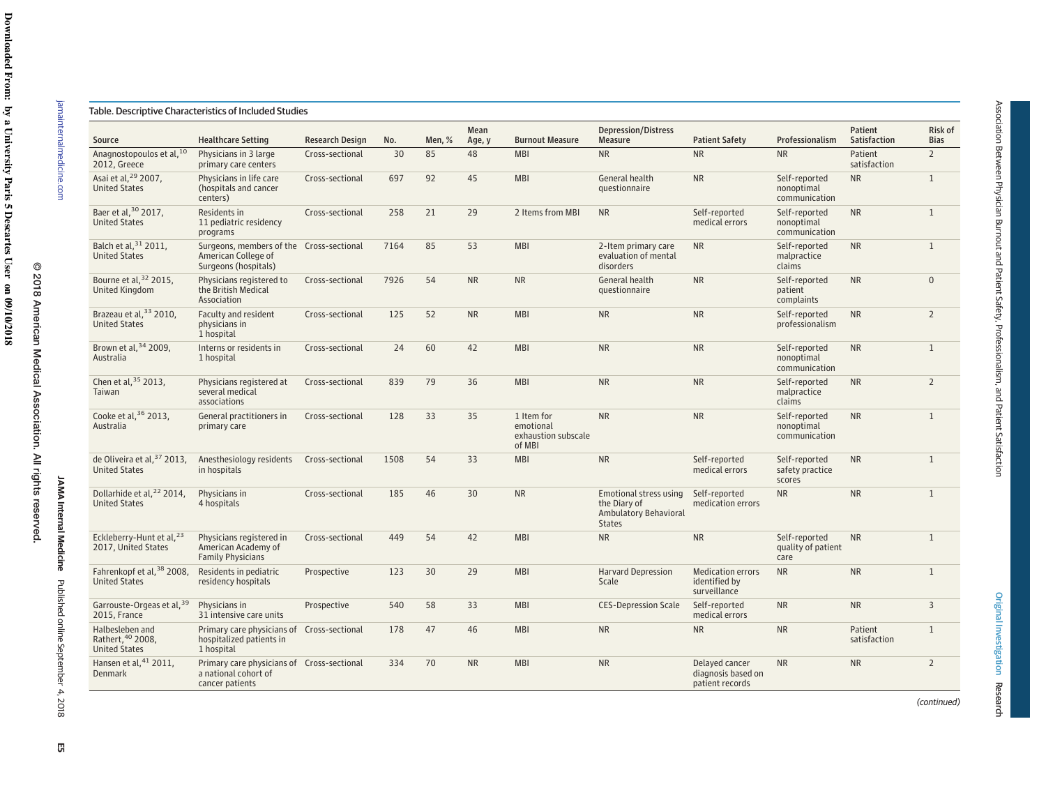| Source                                                        | <b>Healthcare Setting</b>                                                               | <b>Research Design</b> | No.  | Men, % | Mean<br>Age, y | <b>Burnout Measure</b>                                   | <b>Depression/Distress</b><br>Measure                                                   | <b>Patient Safety</b>                                     | Professionalism                              | Patient<br>Satisfaction | Risk of<br><b>Bias</b> |
|---------------------------------------------------------------|-----------------------------------------------------------------------------------------|------------------------|------|--------|----------------|----------------------------------------------------------|-----------------------------------------------------------------------------------------|-----------------------------------------------------------|----------------------------------------------|-------------------------|------------------------|
| Anagnostopoulos et al, 10<br>2012, Greece                     | Physicians in 3 large<br>primary care centers                                           | Cross-sectional        | 30   | 85     | 48             | <b>MBI</b>                                               | <b>NR</b>                                                                               | <b>NR</b>                                                 | <b>NR</b>                                    | Patient<br>satisfaction | $2^{\circ}$            |
| Asai et al, <sup>29</sup> 2007,<br><b>United States</b>       | Physicians in life care<br>(hospitals and cancer<br>centers)                            | Cross-sectional        | 697  | 92     | 45             | <b>MBI</b>                                               | General health<br>questionnaire                                                         | <b>NR</b>                                                 | Self-reported<br>nonoptimal<br>communication | <b>NR</b>               | $\mathbf{1}$           |
| Baer et al, 30 2017,<br><b>United States</b>                  | Residents in<br>11 pediatric residency<br>programs                                      | Cross-sectional        | 258  | 21     | 29             | 2 Items from MBI                                         | <b>NR</b>                                                                               | Self-reported<br>medical errors                           | Self-reported<br>nonoptimal<br>communication | <b>NR</b>               | $\mathbf{1}$           |
| Balch et al, 31 2011,<br><b>United States</b>                 | Surgeons, members of the Cross-sectional<br>American College of<br>Surgeons (hospitals) |                        | 7164 | 85     | 53             | <b>MBI</b>                                               | 2-Item primary care<br>evaluation of mental<br>disorders                                | <b>NR</b>                                                 | Self-reported<br>malpractice<br>claims       | <b>NR</b>               | $\mathbf{1}$           |
| Bourne et al, 32 2015,<br><b>United Kingdom</b>               | Physicians registered to<br>the British Medical<br>Association                          | Cross-sectional        | 7926 | 54     | <b>NR</b>      | <b>NR</b>                                                | General health<br>questionnaire                                                         | <b>NR</b>                                                 | Self-reported<br>patient<br>complaints       | <b>NR</b>               | $\mathbf{0}$           |
| Brazeau et al, 33 2010,<br><b>United States</b>               | Faculty and resident<br>physicians in<br>1 hospital                                     | Cross-sectional        | 125  | 52     | <b>NR</b>      | <b>MBI</b>                                               | <b>NR</b>                                                                               | <b>NR</b>                                                 | Self-reported<br>professionalism             | <b>NR</b>               | $\overline{2}$         |
| Brown et al, 34 2009,<br>Australia                            | Interns or residents in<br>1 hospital                                                   | Cross-sectional        | 24   | 60     | 42             | <b>MBI</b>                                               | <b>NR</b>                                                                               | <b>NR</b>                                                 | Self-reported<br>nonoptimal<br>communication | <b>NR</b>               | $\mathbf{1}$           |
| Chen et al, 35 2013,<br>Taiwan                                | Physicians registered at<br>several medical<br>associations                             | Cross-sectional        | 839  | 79     | 36             | <b>MBI</b>                                               | <b>NR</b>                                                                               | <b>NR</b>                                                 | Self-reported<br>malpractice<br>claims       | <b>NR</b>               | $\overline{2}$         |
| Cooke et al, 36 2013,<br>Australia                            | General practitioners in<br>primary care                                                | Cross-sectional        | 128  | 33     | 35             | 1 Item for<br>emotional<br>exhaustion subscale<br>of MBI | <b>NR</b>                                                                               | <b>NR</b>                                                 | Self-reported<br>nonoptimal<br>communication | <b>NR</b>               | $\mathbf{1}$           |
| de Oliveira et al, 37 2013,<br><b>United States</b>           | Anesthesiology residents Cross-sectional<br>in hospitals                                |                        | 1508 | 54     | 33             | <b>MBI</b>                                               | <b>NR</b>                                                                               | Self-reported<br>medical errors                           | Self-reported<br>safety practice<br>scores   | <b>NR</b>               | $\mathbf{1}$           |
| Dollarhide et al, <sup>22</sup> 2014,<br><b>United States</b> | Physicians in<br>4 hospitals                                                            | Cross-sectional        | 185  | 46     | 30             | <b>NR</b>                                                | Emotional stress using<br>the Diary of<br><b>Ambulatory Behavioral</b><br><b>States</b> | Self-reported<br>medication errors                        | <b>NR</b>                                    | <b>NR</b>               | $\mathbf{1}$           |
| Eckleberry-Hunt et al, <sup>23</sup><br>2017, United States   | Physicians registered in<br>American Academy of<br><b>Family Physicians</b>             | Cross-sectional        | 449  | 54     | 42             | <b>MBI</b>                                               | <b>NR</b>                                                                               | <b>NR</b>                                                 | Self-reported<br>quality of patient<br>care  | <b>NR</b>               | $\mathbf{1}$           |
| Fahrenkopf et al, 38 2008,<br><b>United States</b>            | Residents in pediatric<br>residency hospitals                                           | Prospective            | 123  | 30     | 29             | <b>MBI</b>                                               | <b>Harvard Depression</b><br>Scale                                                      | <b>Medication errors</b><br>identified by<br>surveillance | <b>NR</b>                                    | <b>NR</b>               | $\mathbf{1}$           |
| Garrouste-Orgeas et al, 39<br>2015, France                    | Physicians in<br>31 intensive care units                                                | Prospective            | 540  | 58     | 33             | <b>MBI</b>                                               | <b>CES-Depression Scale</b>                                                             | Self-reported<br>medical errors                           | <b>NR</b>                                    | <b>NR</b>               | $\overline{3}$         |
| Halbesleben and<br>Rathert, 40 2008,<br><b>United States</b>  | Primary care physicians of Cross-sectional<br>hospitalized patients in<br>1 hospital    |                        | 178  | 47     | 46             | <b>MBI</b>                                               | <b>NR</b>                                                                               | <b>NR</b>                                                 | <b>NR</b>                                    | Patient<br>satisfaction | $\mathbf{1}$           |
| Hansen et al, 41 2011,<br><b>Denmark</b>                      | Primary care physicians of Cross-sectional<br>a national cohort of<br>cancer patients   |                        | 334  | 70     | <b>NR</b>      | <b>MBI</b>                                               | <b>NR</b>                                                                               | Delayed cancer<br>diagnosis based on<br>patient records   | <b>NR</b>                                    | <b>NR</b>               | $\overline{2}$         |

Original Investigation Original Investigation Research

[jamainternalmedicine.com](http://www.jamainternalmedicine.com/?utm_campaign=articlePDF%26utm_medium=articlePDFlink%26utm_source=articlePDF%26utm_content=jamainternmed.2018.3713)

jamainternalmedicine.com

*(continued)*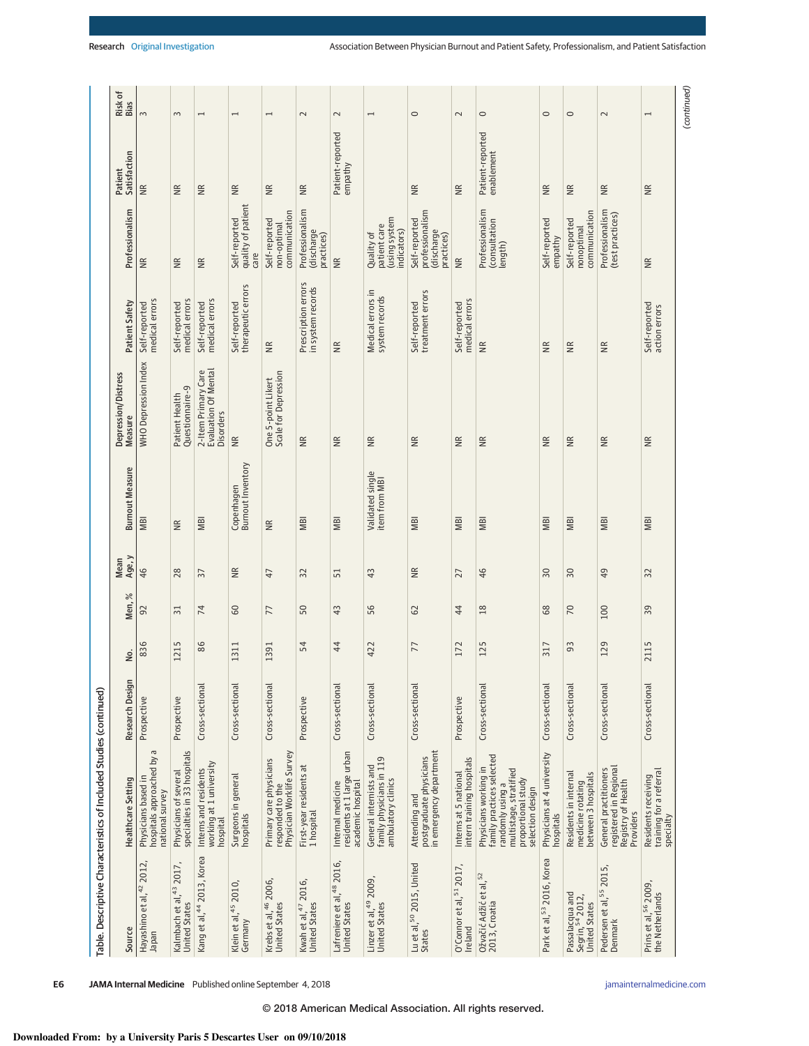|                                                                        | Table. Descriptive Characteristics of Included Studies (continued)                                                                         |                 |      |                       |                 |                                   |                                                          |                                          |                                                              |                                |                 |
|------------------------------------------------------------------------|--------------------------------------------------------------------------------------------------------------------------------------------|-----------------|------|-----------------------|-----------------|-----------------------------------|----------------------------------------------------------|------------------------------------------|--------------------------------------------------------------|--------------------------------|-----------------|
| Source                                                                 | Healthcare Setting                                                                                                                         | Research Design | δ.   | $\frac{2}{6}$<br>Men, | Age, y<br>Mean  | <b>Burnout Measure</b>            | Depression/Distress<br><b>Measure</b>                    | Patient Safety                           | Professionalism                                              | Satisfaction<br>Patient        | Risk of<br>Bias |
| Hayashino et al, <sup>42</sup> 2012,<br>maqual                         | hospitals approached by a<br>Physicians based<br>national survey                                                                           | Prospective     | 836  | 92                    | 46              | MBI                               | <b>WHO Depression Index</b>                              | medical errors<br>Self-reported          | ΨŘ                                                           | $\widetilde{\Xi}$              | $\sim$          |
| Kalmbach et al, <sup>43</sup> 2017,<br><b>United States</b>            | Physicians of several<br>specialties in 33 hospitals                                                                                       | Prospective     | 1215 | $\overline{31}$       | 28              | $\frac{R}{R}$                     | Questionnaire-9<br>Patient Health                        | medical errors<br>Self-reported          | ¥                                                            | $\widetilde{B}$                | $\sim$          |
| Kang et al, <sup>44</sup> 2013, Korea                                  | working at 1 university<br>hospital<br>Interns and residents                                                                               | Cross-sectional | 86   | $\overline{7}$        | 57              | MBI                               | 2-Item Primary Care<br>Evaluation Of Mental<br>Disorders | medical errors<br>Self-reported          | ¥                                                            | $\widetilde{R}$                | $\overline{ }$  |
| Klein et al, <sup>45</sup> 2010,<br>Germany                            | Surgeons in general<br>hospitals                                                                                                           | Cross-sectional | 1311 | $60\,$                | $\frac{R}{R}$   | Copenhagen<br>Burnout Inventory   | ₩                                                        | therapeutic errors<br>Self-reported      | quality of patient<br>Self-reported<br>care                  | $\widetilde{\Xi}$              | $\overline{ }$  |
| Krebs et al, <sup>46</sup> 2006,<br><b>United States</b>               | Physician Worklife Survey<br>Primary care physicians<br>responded to the                                                                   | Cross-sectional | 1391 | 77                    | 47              | $\widetilde{B}$                   | One 5-point Likert<br>Scale for Depression               | $\widetilde{\Xi}$                        | communication<br>Self-reported<br>non-optimal                | $\widetilde{\Xi}$              | $\overline{ }$  |
| Kwah et al, <sup>47</sup> 2016,<br>United States                       | First-year residents at<br>1 hospital                                                                                                      | Prospective     | 54   | 50                    | 32              | <b>MBI</b>                        | ₩                                                        | Prescription errors<br>in system records | Professionalism<br>(discharge<br>practices)                  | $\widetilde{R}$                | $\sim$          |
| Lafreniere et al, <sup>48</sup> 2016,<br>United States                 | residents at 1 large urban<br>academic hospital<br>Internal medicine                                                                       | Cross-sectional | 44   | 43                    | 51              | <b>MBI</b>                        | $\widetilde{\Xi}$                                        | $\widetilde{B}$                          | $\widetilde{\Xi}$                                            | Patient-reported<br>empathy    | $\sim$          |
| Linzer et al, <sup>49</sup> 2009,<br>United States                     | family physicians in 119<br>General internists and<br>ambulatory clinics                                                                   | Cross-sectional | 422  | 56                    | 43              | Validated single<br>item from MBI | $\widetilde{\equiv}$                                     | Medical errors in<br>system records      | (using system<br>patient care<br>indicators)<br>Quality of   |                                | $\overline{ }$  |
| Lu et al, <sup>50</sup> 2015, United<br>States                         | postgraduate physicians<br>in emergency department<br>Attending and                                                                        | Cross-sectional | 77   | 62                    | $\widetilde{R}$ | <b>MBI</b>                        | $\widetilde{\Xi}$                                        | treatment errors<br>Self-reported        | professionalism<br>Self-reported<br>(discharge<br>practices) | $\widetilde{B}$                | $\circ$         |
| O'Connor et al, 51 2017,<br>Ireland                                    | intern training hospitals<br>Interns at 5 national                                                                                         | Prospective     | 172  | 44                    | 27              | <b>MBI</b>                        | $\widetilde{\Xi}$                                        | medical errors<br>Self-reported          | $\widetilde{\Xi}$                                            | $\widetilde{R}$                | $\sim$          |
| Ožvačić Adžić et al, <sup>52</sup><br>2013, Croatia                    | family practices selected<br>Physicians working in<br>multistage, stratified<br>proportional study<br>randomly using a<br>selection design | Cross-sectional | 125  | 18                    | 46              | <b>NBI</b>                        | $\widetilde{\equiv}$                                     | $\widetilde{B}$                          | Professionalism<br>(consultation<br>length)                  | Patient-reported<br>enablement | $\circ$         |
| Park et al, 53 2016, Korea                                             | Physicians at 4 university<br>hospitals                                                                                                    | Cross-sectional | 317  | 89                    | $30\,$          | <b>MBI</b>                        | $\widetilde{\Xi}$                                        | $\widetilde{\Xi}$                        | Self-reported<br>empathy                                     | $\cong$                        | $\circ$         |
| Passalacqua and<br>Segrin, <sup>54</sup> 2012,<br><b>United States</b> | Residents in internal<br>medicine rotating<br>between 3 hospitals                                                                          | Cross-sectional | 93   | $\sqrt{2}$            | $50\,$          | <b>MBI</b>                        | $\widetilde{\Xi}$                                        | $\widetilde{\Xi}$                        | communication<br>Self-reported<br>nonoptimal                 | $\widetilde{B}$                | $\circ$         |
| Pedersen et al, <sup>55</sup> 2015,<br>Denmark                         | registered in Regional<br>General practitioners<br>Registry of Health<br>Providers                                                         | Cross-sectional | 129  | 100                   | 49              | <b>MBI</b>                        | ΨŘ                                                       | $\frac{R}{R}$                            | Professionalism<br>(test practices)                          | $\frac{\alpha}{\beta}$         | $\sim$          |
| Prins et al, <sup>56</sup> 2009,<br>the Netherlands                    | training for a referral<br>specialty<br>Residents receiving                                                                                | Cross-sectional | 2115 | 39                    | 32              | <b>MBI</b>                        | $\widetilde{\Xi}$                                        | Self-reported<br>action errors           | ¥                                                            | $\widetilde{B}$                | $\overline{ }$  |
|                                                                        |                                                                                                                                            |                 |      |                       |                 |                                   |                                                          |                                          |                                                              |                                | (continued)     |

**E6 JAMA Internal Medicine** Published online September 4, 2018 **(Reprinted)** [jamainternalmedicine.com](http://www.jamainternalmedicine.com/?utm_campaign=articlePDF%26utm_medium=articlePDFlink%26utm_source=articlePDF%26utm_content=jamainternmed.2018.3713)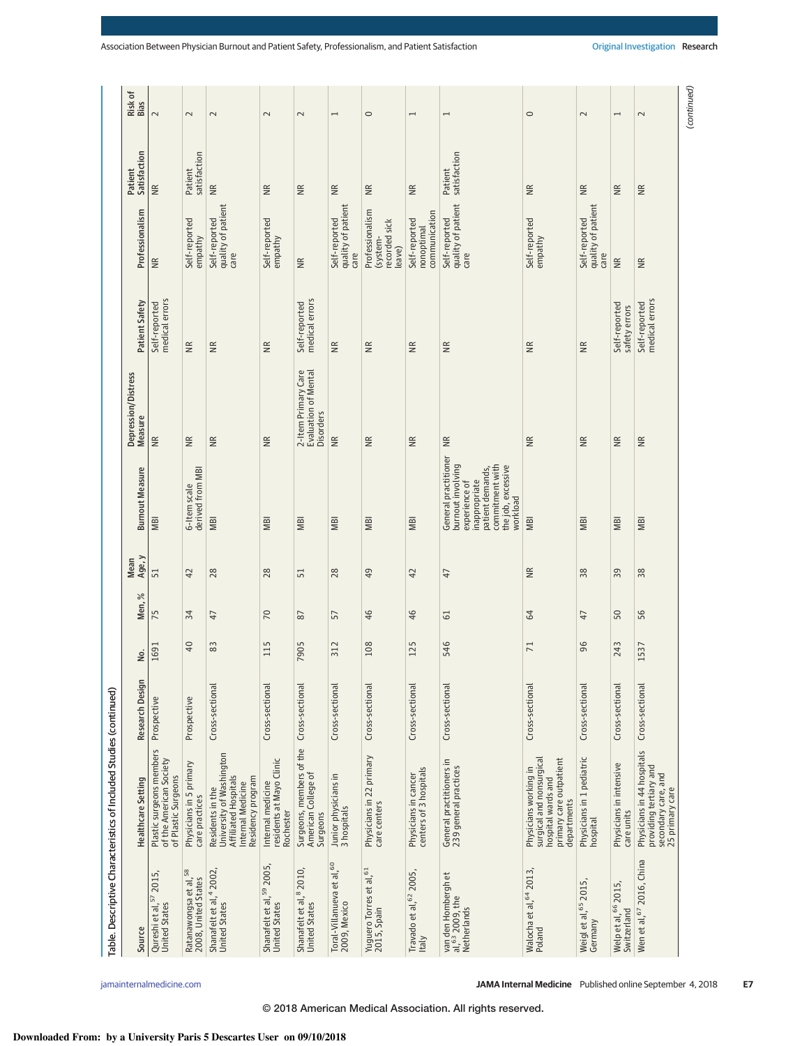|                                                               | Table. Descriptive Characteristics of Included Studies (continued)                                                |                 |      |                |                 |                                                                                                                                                      |                                                                 |                                 |                                                        |                         |                          |
|---------------------------------------------------------------|-------------------------------------------------------------------------------------------------------------------|-----------------|------|----------------|-----------------|------------------------------------------------------------------------------------------------------------------------------------------------------|-----------------------------------------------------------------|---------------------------------|--------------------------------------------------------|-------------------------|--------------------------|
| Source                                                        | Healthcare Setting                                                                                                | Research Design | ρó.  | Men, %         | Age, y<br>Mean  | <b>Burnout Measure</b>                                                                                                                               | Depression/Distress<br>Measure                                  | Patient Safety                  | Professionalism                                        | Satisfaction<br>Patient | Risk of<br>Bias          |
| Qureshi et al, 57 2015,<br><b>United States</b>               | Plastic surgeons members<br>of the American Society<br>of Plastic Surgeons                                        | Prospective     | 1691 | 75             | 51              | <b>MBI</b>                                                                                                                                           | $\widetilde{\Xi}$                                               | medical errors<br>Self-reported | ΨŘ                                                     | $\widetilde{\Xi}$       | $\sim$                   |
| Ratanawongsa et al, 58<br>2008, United States                 | Physicians in 5 primary<br>care practices                                                                         | Prospective     | 40   | 34             | 42              | derived from MBI<br>6-Item scale                                                                                                                     | $\widetilde{\Xi}$                                               | $\widetilde{R}$                 | Self-reported<br>empathy                               | satisfaction<br>Patient | $\sim$                   |
| Shanafelt et al, <sup>4</sup> 2002,<br><b>United States</b>   | University of Washington<br>Affiliated Hospitals<br>Residency program<br>Internal Medicine<br>Residents in the    | Cross-sectional | 83   | 47             | 28              | MBI                                                                                                                                                  | $\cong$                                                         | $\widetilde{B}$                 | quality of patient<br>Self-reported<br>care            | $\frac{R}{R}$           | $\sim$                   |
| Shanafelt et al, 59 2005,<br><b>United States</b>             | residents at Mayo Clinic<br>Internal medicine<br>Rochester                                                        | Cross-sectional | 115  | 70             | 28              | <b>NBI</b>                                                                                                                                           | $\widetilde{\Xi}$                                               | $\widetilde{\Xi}$               | Self-reported<br>empathy                               | $\widetilde{\Xi}$       | $\sim$                   |
| Shanafelt et al, 8 2010,<br><b>United States</b>              | Surgeons, members of the<br>American College of<br>Surgeons                                                       | Cross-sectional | 7905 | 87             | 51              | <b>MBI</b>                                                                                                                                           | 2-Item Primary Care<br>Evaluation of Mental<br><b>Disorders</b> | medical errors<br>Self-reported | $\widetilde{\Xi}$                                      | $\widetilde{B}$         | $\overline{\mathsf{c}}$  |
| Toral-Villanueva et al, 60<br>2009, Mexico                    | Junior physicians in<br>3 hospitals                                                                               | Cross-sectional | 312  | 57             | 28              | <b>MBI</b>                                                                                                                                           | $\widetilde{\Xi}$                                               | ΜR                              | quality of patient<br>Self-reported<br>care            | $\overline{R}$          | $\overline{\phantom{0}}$ |
| Yuguero Torres et al, <sup>61</sup><br>2015, Spain            | Physicians in 22 primary<br>care centers                                                                          | Cross-sectional | 108  | 46             | 49              | <b>MBI</b>                                                                                                                                           | $\widetilde{\Xi}$                                               | $\widetilde{\Xi}$               | Professionalism<br>recorded sick<br>(system-<br>leave) | $\overline{\mathbb{R}}$ | $\circ$                  |
| Travado et al, 62 2005,<br><b>Italy</b>                       | Physicians in cancer<br>centers of 3 hospitals                                                                    | Cross-sectional | 125  | 46             | 42              | <b>MBI</b>                                                                                                                                           | $\widetilde{\Xi}$                                               | $\widetilde{\Xi}$               | communication<br>Self-reported<br>nonoptimal           | $\widetilde{R}$         | $\overline{ }$           |
| van den Hombergh et<br>al, 63 2009, the<br><b>Netherlands</b> | General practitioners in<br>239 general practices                                                                 | Cross-sectional | 546  | 5              | $\overline{4}$  | General practitioner<br>burnout involving<br>commitment with<br>the job, excessive<br>patient demands,<br>experience of<br>inappropriate<br>workload | €                                                               | $\widetilde{R}$                 | quality of patient<br>Self-reported<br>care            | satisfaction<br>Patient | $\overline{ }$           |
| Walocha et al, 64 2013,<br>Poland                             | surgical and nonsurgical<br>primary care outpatient<br>Physicians working in<br>hospital wards and<br>departments | Cross-sectional | 71   | 64             | $\widetilde{R}$ | <b>MBI</b>                                                                                                                                           | $\widetilde{\Xi}$                                               | $\widetilde{R}$                 | Self-reported<br>empathy                               | NR.                     | $\circ$                  |
| Weigl et al, <sup>65</sup> 2015,<br>Germany                   | Physicians in 1 pediatric<br>hospital                                                                             | Cross-sectional | 96   | $\overline{4}$ | 38              | <b>IBI</b>                                                                                                                                           | $\widetilde{\Xi}$                                               | $\frac{R}{R}$                   | quality of patient<br>Self-reported<br>care            | $\frac{R}{R}$           | $\sim$                   |
| Welp et al, <sup>66</sup> 2015,<br>Switzerland                | Physicians in intensive<br>care units                                                                             | Cross-sectional | 243  | 50             | 39              | <b>MBI</b>                                                                                                                                           | $\widetilde{\Xi}$                                               | Self-reported<br>safety errors  | $\widetilde{\Xi}$                                      | $\widetilde{R}$         | $\overline{\phantom{0}}$ |
| Wen et al, 67 2016, China                                     | Physicians in 44 hospitals<br>providing tertiary and<br>secondary care, and<br>25 primary care                    | Cross-sectional | 1537 | 56             | 38              | <b>NBI</b>                                                                                                                                           | Ξ                                                               | medical errors<br>Self-reported | $\widetilde{\Xi}$                                      | ΙŘ                      | $\sim$                   |
|                                                               |                                                                                                                   |                 |      |                |                 |                                                                                                                                                      |                                                                 |                                 |                                                        |                         | (continued)              |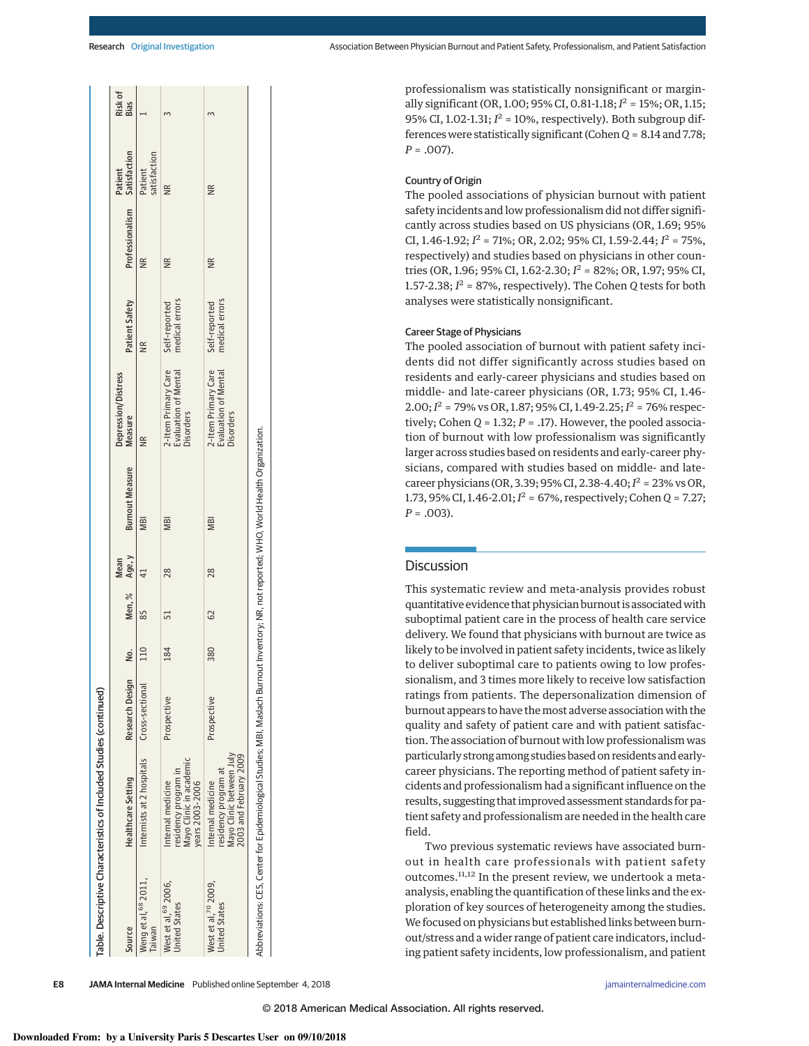| Source                                         | <b>Healthcare Setting</b>                                                                                                                 | Research Design |     |                 | Mean | No. Men, % Age, y Burnout Measure | Depression/Distress<br>Measure                                  | Patient Safety                  | Professionalism Satisfaction | Patient                | Risk of<br>Bias |
|------------------------------------------------|-------------------------------------------------------------------------------------------------------------------------------------------|-----------------|-----|-----------------|------|-----------------------------------|-----------------------------------------------------------------|---------------------------------|------------------------------|------------------------|-----------------|
| Weng et al, 68 2011,<br><b>Taiwan</b>          | Internists at 2 hospitals Cross-sectional                                                                                                 |                 | 110 |                 |      | <b>MBI</b>                        |                                                                 | $\frac{R}{R}$                   |                              | atisfaction<br>Patient |                 |
| West et al, 69 2006,<br><b>Jnited States</b>   | Mayo Clinic in academic<br>esidency program in<br>years 2003-2006<br>Internal medicine                                                    | Prospective     | 184 |                 | 28   | <b>MBI</b>                        | 2-Item Primary Care<br><b>Evaluation of Mental</b><br>Disorders | medical errors<br>Self-reported | ⋚                            | $\frac{R}{R}$          |                 |
| Vest et al, $70$ 2009,<br><b>Jnited States</b> | Mayo Clinic between July<br>2003 and February 2009<br>esidency program at<br>Internal medicine                                            | Prospective     | 380 | $\overline{62}$ | 28   | <b>MBI</b>                        | 2-Item Primary Care<br>Evaluation of Mental<br><b>Disorders</b> | medical errors<br>Self-reported | NR                           | $\frac{R}{R}$          |                 |
|                                                | Abbreviations: CES, Center for Epidemiological Studies; MBI, Maslach Burnout Inventory; NR, not reported; WHO, World Health Organization. |                 |     |                 |      |                                   |                                                                 |                                 |                              |                        |                 |

professionalism was statistically nonsignificant or marginally significant (OR, 1.00; 95% CI, 0.81-1.18; *I* <sup>2</sup> = 15%; OR, 1.15; 95% CI,  $1.02-1.31$ ;  $I^2 = 10$ %, respectively). Both subgroup differences were statistically significant (Cohen *Q* = 8.14and7.78; *P* = .007).

# Country of Origin

The pooled associations of physician burnout with patient safety incidents and low professionalism did not differ significantly across studies based on US physicians (OR, 1.69; 95% CI, 1.46-1.92; *I* <sup>2</sup> = 71%; OR, 2.02; 95% CI, 1.59-2.44; *I* <sup>2</sup> = 75%, respectively) and studies based on physicians in other countries (OR, 1.96; 95% CI, 1.62-2.30; *I* <sup>2</sup> = 82%; OR, 1.97; 95% CI, 1.57-2.38; *I* <sup>2</sup> = 87%, respectively). The Cohen *Q* tests for both analyses were statistically nonsignificant.

# Career Stage of Physicians

The pooled association of burnout with patient safety incidents did not differ significantly across studies based on residents and early-career physicians and studies based on middle- and late-career physicians (OR, 1.73; 95% CI, 1.46-  $2.00; I<sup>2</sup> = 79\% \text{ vs } \text{OR}, 1.87; 95\% \text{ CI}, 1.49 - 2.25; I<sup>2</sup> = 76\% \text{ respec-}$ tively; Cohen  $Q = 1.32$ ;  $P = .17$ ). However, the pooled association of burnout with low professionalism was significantly larger across studies based on residents and early-career physicians, compared with studies based on middle- and latecareer physicians (OR, 3.39; 95% CI, 2.38-4.40;*I* <sup>2</sup> = 23% vs OR, 1.73, 95% CI, 1.46-2.01;  $I^2 = 67$ %, respectively; Cohen *Q* = 7.27; *P* = .003).

# Discussion

This systematic review and meta-analysis provides robust quantitative evidence that physician burnout is associatedwith suboptimal patient care in the process of health care service delivery. We found that physicians with burnout are twice as likely to be involved in patient safety incidents, twice as likely to deliver suboptimal care to patients owing to low professionalism, and 3 times more likely to receive low satisfaction ratings from patients. The depersonalization dimension of burnout appears to have themost adverse association with the quality and safety of patient care and with patient satisfaction. The association of burnout with low professionalism was particularly strong among studies based on residents and earlycareer physicians. The reporting method of patient safety incidents and professionalism had a significant influence on the results, suggesting that improved assessment standards for patient safety and professionalism are needed in the health care field.

Two previous systematic reviews have associated burnout in health care professionals with patient safety outcomes.11,<sup>12</sup> In the present review, we undertook a metaanalysis, enabling the quantification of these links and the exploration of key sources of heterogeneity among the studies. We focused on physicians but established links between burnout/stress and a wider range of patient care indicators, including patient safety incidents, low professionalism, and patient

**E8 JAMA Internal Medicine** Published online September 4, 2018 **(Reprinted)** [jamainternalmedicine.com](http://www.jamainternalmedicine.com/?utm_campaign=articlePDF%26utm_medium=articlePDFlink%26utm_source=articlePDF%26utm_content=jamainternmed.2018.3713)

Table. Descriptive Characteristics of Included Studies (continued)

Table. Descriptive Characteristics of Included Studies (continued)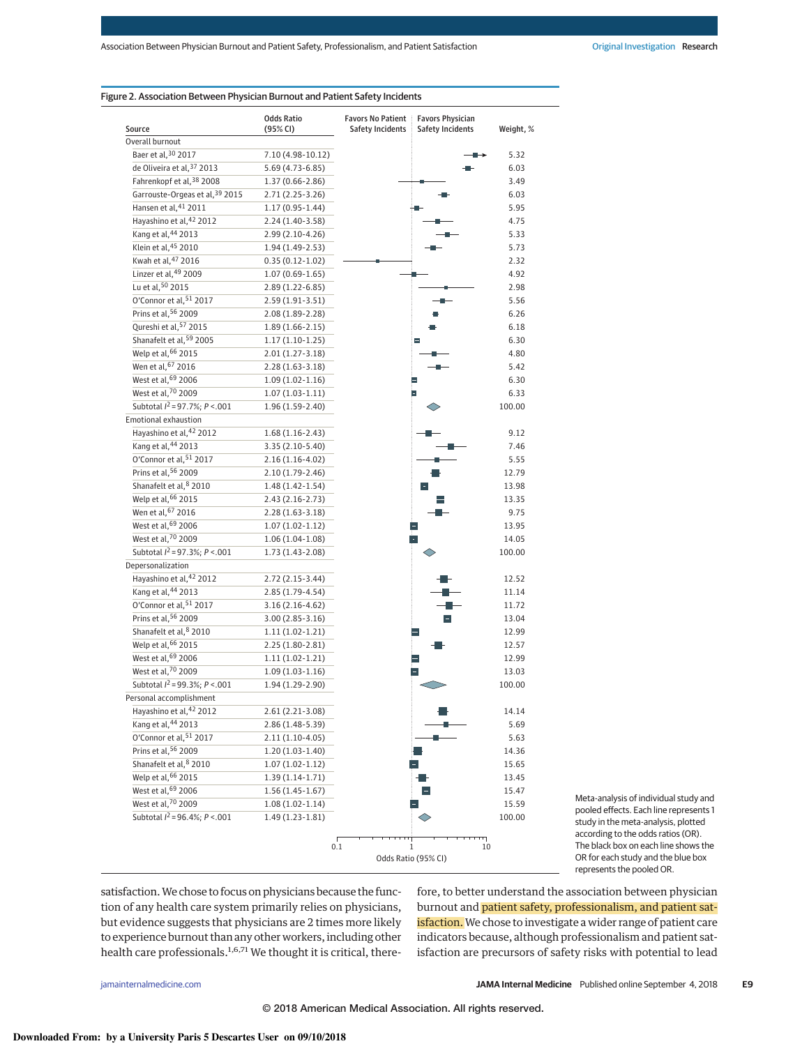## Figure 2. Association Between Physician Burnout and Patient Safety Incidents

| Source                               | <b>Odds Ratio</b><br>(95% CI) | <b>Favors No Patient</b><br><b>Safety Incidents</b> | <b>Favors Physician</b><br><b>Safety Incidents</b> | Weight, % |
|--------------------------------------|-------------------------------|-----------------------------------------------------|----------------------------------------------------|-----------|
| Overall burnout                      |                               |                                                     |                                                    |           |
| Baer et al, 30 2017                  | 7.10 (4.98-10.12)             |                                                     |                                                    | 5.32      |
| de Oliveira et al, 37 2013           | 5.69 (4.73-6.85)              |                                                     |                                                    | 6.03      |
| Fahrenkopf et al, 38 2008            | 1.37 (0.66-2.86)              |                                                     |                                                    | 3.49      |
| Garrouste-Orgeas et al, 39 2015      | $2.71(2.25-3.26)$             |                                                     |                                                    | 6.03      |
| Hansen et al, 41 2011                | $1.17(0.95-1.44)$             |                                                     |                                                    | 5.95      |
| Hayashino et al, 42 2012             | 2.24 (1.40-3.58)              |                                                     |                                                    | 4.75      |
| Kang et al, 44 2013                  | 2.99 (2.10-4.26)              |                                                     |                                                    | 5.33      |
| Klein et al, 45 2010                 | 1.94 (1.49-2.53)              |                                                     |                                                    | 5.73      |
| Kwah et al, 47 2016                  | $0.35(0.12-1.02)$             |                                                     |                                                    | 2.32      |
| Linzer et al, 49 2009                | $1.07(0.69-1.65)$             |                                                     |                                                    | 4.92      |
| Lu et al, 50 2015                    | $2.89(1.22 - 6.85)$           |                                                     |                                                    | 2.98      |
| O'Connor et al, 51 2017              | 2.59 (1.91-3.51)              |                                                     |                                                    | 5.56      |
| Prins et al, 56 2009                 | 2.08 (1.89-2.28)              |                                                     |                                                    | 6.26      |
| Qureshi et al, 57 2015               | $1.89(1.66 - 2.15)$           |                                                     |                                                    | 6.18      |
| Shanafelt et al, 59 2005             | $1.17(1.10-1.25)$             |                                                     |                                                    | 6.30      |
| Welp et al, 66 2015                  | $2.01(1.27-3.18)$             |                                                     |                                                    | 4.80      |
| Wen et al, 67 2016                   | $2.28(1.63-3.18)$             |                                                     |                                                    | 5.42      |
| West et al, 69 2006                  | $1.09(1.02-1.16)$             |                                                     |                                                    | 6.30      |
| West et al. <sup>70</sup> 2009       | $1.07(1.03-1.11)$             |                                                     | E                                                  | 6.33      |
| Subtotal $I^2 = 97.7\%$ ; $P < .001$ | 1.96 (1.59-2.40)              |                                                     |                                                    | 100.00    |
| <b>Emotional exhaustion</b>          |                               |                                                     |                                                    |           |
| Hayashino et al, 42 2012             | $1.68(1.16-2.43)$             |                                                     |                                                    | 9.12      |
| Kang et al, 44 2013                  | $3.35(2.10-5.40)$             |                                                     |                                                    | 7.46      |
| O'Connor et al, 51 2017              | $2.16(1.16-4.02)$             |                                                     |                                                    | 5.55      |
| Prins et al, 56 2009                 | $2.10(1.79-2.46)$             |                                                     |                                                    | 12.79     |
| Shanafelt et al, 8 2010              | $1.48(1.42 - 1.54)$           |                                                     |                                                    | 13.98     |
| Welp et al, 66 2015                  | $2.43(2.16-2.73)$             |                                                     |                                                    | 13.35     |
| Wen et al, 67 2016                   | $2.28(1.63-3.18)$             |                                                     |                                                    | 9.75      |
| West et al, 69 2006                  | $1.07(1.02-1.12)$             |                                                     |                                                    | 13.95     |
| West et al, 70 2009                  | $1.06(1.04-1.08)$             |                                                     |                                                    | 14.05     |
| Subtotal $l^2$ = 97.3%; $P < .001$   | 1.73 (1.43-2.08)              |                                                     |                                                    | 100.00    |
| Depersonalization                    |                               |                                                     |                                                    |           |
| Hayashino et al, 42 2012             | $2.72(2.15-3.44)$             |                                                     |                                                    | 12.52     |
| Kang et al, 44 2013                  | $2.85(1.79-4.54)$             |                                                     |                                                    | 11.14     |
| O'Connor et al, 51 2017              | $3.16(2.16-4.62)$             |                                                     |                                                    | 11.72     |
| Prins et al, 56 2009                 | $3.00(2.85-3.16)$             |                                                     |                                                    | 13.04     |
| Shanafelt et al, 8 2010              | $1.11(1.02-1.21)$             |                                                     | Η                                                  | 12.99     |
| Welp et al, 66 2015                  | 2.25 (1.80-2.81)              |                                                     |                                                    | 12.57     |
| West et al, 69 2006                  | $1.11(1.02-1.21)$             |                                                     |                                                    | 12.99     |
| West et al, 70 2009                  | $1.09(1.03-1.16)$             |                                                     |                                                    | 13.03     |
| Subtotal $I^2$ = 99.3%; P <. 001     | 1.94 (1.29-2.90)              |                                                     |                                                    | 100.00    |
| Personal accomplishment              |                               |                                                     |                                                    |           |
| Hayashino et al, 42 2012             | 2.61 (2.21-3.08)              |                                                     |                                                    | 14.14     |
| Kang et al, 44 2013                  | 2.86 (1.48-5.39)              |                                                     |                                                    | 5.69      |
| O'Connor et al, 51 2017              | $2.11(1.10-4.05)$             |                                                     |                                                    | 5.63      |
| Prins et al. <sup>56</sup> 2009      | $1.20(1.03-1.40)$             |                                                     |                                                    | 14.36     |
| Shanafelt et al, 8 2010              | $1.07(1.02 - 1.12)$           |                                                     |                                                    | 15.65     |
| Welp et al, 66 2015                  | $1.39(1.14-1.71)$             |                                                     |                                                    | 13.45     |
| West et al, 69 2006                  | $1.56(1.45-1.67)$             |                                                     |                                                    | 15.47     |
| West et al, 70 2009                  | $1.08(1.02-1.14)$             |                                                     |                                                    | 15.59     |
| Subtotal $I^2 = 96.4\%$ ; $P < .001$ | 1.49 (1.23-1.81)              |                                                     |                                                    | 100.00    |
|                                      |                               |                                                     |                                                    |           |
|                                      |                               | 0.1<br>Odds Ratio (95% CI)                          | щ<br>10<br>1                                       |           |

Meta-analysis of individual study and pooled effects. Each line represents 1 study in the meta-analysis, plotted according to the odds ratios (OR). The black box on each line shows the OR for each study and the blue box represents the pooled OR.

satisfaction.We chose to focus on physicians because the function of any health care system primarily relies on physicians, but evidence suggests that physicians are 2 times more likely to experience burnout than any other workers, including other health care professionals.<sup>1,6,71</sup> We thought it is critical, therefore, to better understand the association between physician burnout and patient safety, professionalism, and patient satisfaction. We chose to investigate a wider range of patient care indicators because, although professionalism and patient satisfaction are precursors of safety risks with potential to lead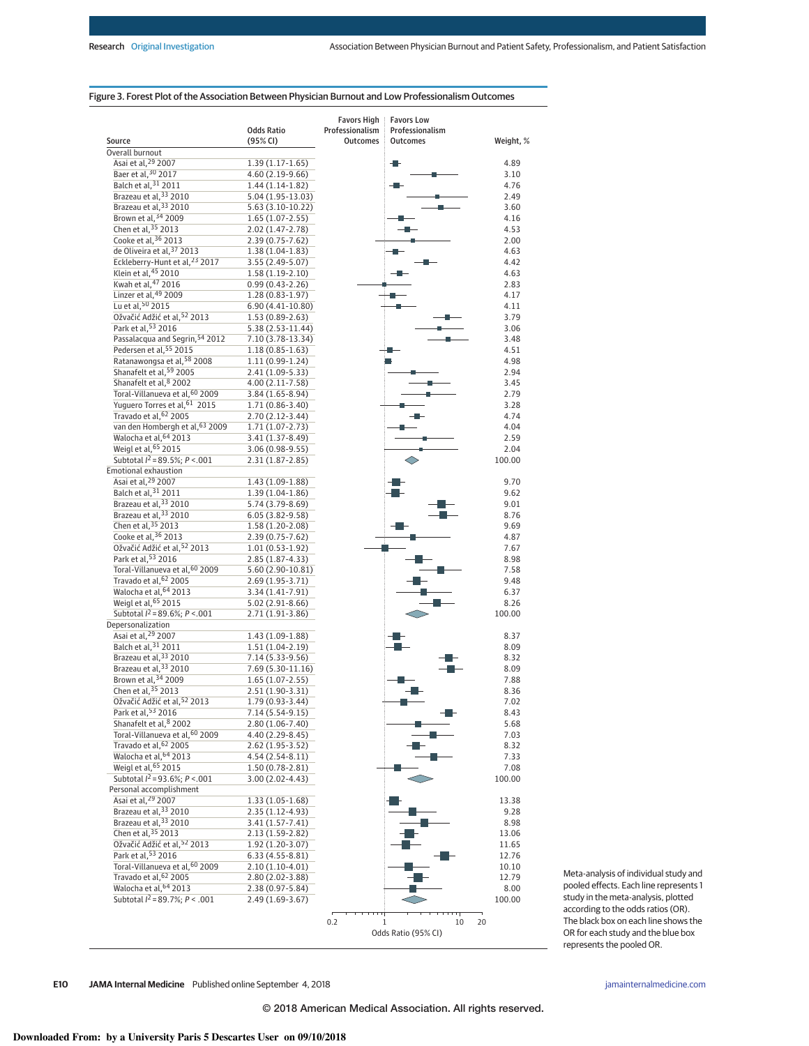# Figure 3. Forest Plot of the Association Between Physician Burnout and Low Professionalism Outcomes

|                                                            |                                          | <b>Favors High</b>                 | <b>Favors Low</b>                  |                |
|------------------------------------------------------------|------------------------------------------|------------------------------------|------------------------------------|----------------|
| Source                                                     | <b>Odds Ratio</b><br>(95% CI)            | Professionalism<br><b>Outcomes</b> | Professionalism<br><b>Outcomes</b> | Weight, %      |
| Overall burnout                                            |                                          |                                    |                                    |                |
| Asai et al, <sup>29</sup> 2007                             | $1.39(1.17-1.65)$                        |                                    |                                    | 4.89           |
| Baer et al, 30 2017                                        | 4.60 (2.19-9.66)                         |                                    |                                    | 3.10           |
| Balch et al, 31 2011                                       | $1.44(1.14-1.82)$                        |                                    |                                    | 4.76           |
| Brazeau et al, 33 2010<br>Brazeau et al, 33 2010           | $5.04(1.95-13.03)$<br>$5.63(3.10-10.22)$ |                                    |                                    | 2.49<br>3.60   |
| Brown et al, 34 2009                                       | $1.65(1.07-2.55)$                        |                                    |                                    | 4.16           |
| Chen et al, 35 2013                                        | 2.02 (1.47-2.78)                         |                                    |                                    | 4.53           |
| Cooke et al, 36 2013                                       | 2.39 (0.75-7.62)                         |                                    |                                    | 2.00           |
| de Oliveira et al. <sup>37</sup> 2013                      | $1.38(1.04-1.83)$                        |                                    |                                    | 4.63           |
| Eckleberry-Hunt et al, <sup>23</sup> 2017                  | 3.55 (2.49-5.07)                         |                                    |                                    | 4.42           |
| Klein et al, 45 2010                                       | $1.58(1.19-2.10)$                        |                                    |                                    | 4.63           |
| Kwah et al, 47 2016                                        | $0.99(0.43 - 2.26)$                      |                                    |                                    | 2.83           |
| Linzer et al, 49 2009<br>Lu et al, 50 2015                 | 1.28 (0.83-1.97)                         |                                    |                                    | 4.17           |
| Ožvačić Adžić et al, 52 2013                               | 6.90 (4.41-10.80)<br>$1.53(0.89-2.63)$   |                                    |                                    | 4.11<br>3.79   |
| Park et al, 53 2016                                        | 5.38 (2.53-11.44)                        |                                    |                                    | 3.06           |
| Passalacqua and Segrin, 54 2012                            | 7.10 (3.78-13.34)                        |                                    |                                    | 3.48           |
| Pedersen et al, 55 2015                                    | $1.18(0.85 - 1.63)$                      |                                    |                                    | 4.51           |
| Ratanawongsa et al, 58 2008                                | 1.11 (0.99-1.24)                         |                                    |                                    | 4.98           |
| Shanafelt et al, 59 2005                                   | 2.41 (1.09-5.33)                         |                                    |                                    | 2.94           |
| Shanafelt et al, 8 2002                                    | 4.00 (2.11-7.58)                         |                                    |                                    | 3.45           |
| Toral-Villanueva et al, 60 2009                            | 3.84 (1.65-8.94)                         |                                    |                                    | 2.79           |
| Yuguero Torres et al, 61 2015<br>Travado et al, 62 2005    | 1.71 (0.86-3.40)                         |                                    |                                    | 3.28<br>4.74   |
| van den Hombergh et al, 63 2009                            | 2.70 (2.12-3.44)<br>1.71 (1.07-2.73)     |                                    |                                    | 4.04           |
| Walocha et al, 64 2013                                     | 3.41 (1.37-8.49)                         |                                    |                                    | 2.59           |
| Weigl et al, 65 2015                                       | 3.06 (0.98-9.55)                         |                                    |                                    | 2.04           |
| Subtotal $I^2 = 89.5\%$ ; $P < .001$                       | $2.31(1.87 - 2.85)$                      |                                    |                                    | 100.00         |
| Emotional exhaustion                                       |                                          |                                    |                                    |                |
| Asai et al, <sup>29</sup> 2007                             | 1.43 (1.09-1.88)                         |                                    |                                    | 9.70           |
| Balch et al, 31 2011                                       | 1.39 (1.04-1.86)                         |                                    |                                    | 9.62           |
| Brazeau et al, 33 2010                                     | 5.74 (3.79-8.69)                         |                                    |                                    | 9.01           |
| Brazeau et al, 33 2010<br>Chen et al, 35 2013              | 6.05 (3.82-9.58)                         |                                    |                                    | 8.76           |
| Cooke et al, 36 2013                                       | 1.58 (1.20-2.08)<br>2.39 (0.75-7.62)     |                                    |                                    | 9.69<br>4.87   |
| Ožvačić Adžić et al, 52 2013                               | $1.01(0.53-1.92)$                        |                                    |                                    | 7.67           |
| Park et al, 53 2016                                        | 2.85 (1.87-4.33)                         |                                    |                                    | 8.98           |
| Toral-Villanueva et al, 60 2009                            | 5.60 (2.90-10.81)                        |                                    |                                    | 7.58           |
| Travado et al, 62 2005                                     | 2.69 (1.95-3.71)                         |                                    |                                    | 9.48           |
| Walocha et al, 64 2013                                     | 3.34 (1.41-7.91)                         |                                    |                                    | 6.37           |
| Weigl et al, 65 2015                                       | 5.02 (2.91-8.66)                         |                                    |                                    | 8.26           |
| Subtotal $I^2 = 89.6\%$ ; $P < .001$                       | 2.71 (1.91-3.86)                         |                                    |                                    | 100.00         |
| Depersonalization<br>Asai et al, <sup>29</sup> 2007        | 1.43 (1.09-1.88)                         |                                    |                                    | 8.37           |
| Balch et al, 31 2011                                       | 1.51 (1.04-2.19)                         |                                    |                                    | 8.09           |
| Brazeau et al, 33 2010                                     | 7.14 (5.33-9.56)                         |                                    |                                    | 8.32           |
| Brazeau et al, 33 2010                                     | 7.69 (5.30-11.16)                        |                                    |                                    | 8.09           |
| Brown et al, 34 2009                                       | $1.65(1.07-2.55)$                        |                                    |                                    | 7.88           |
| Chen et al, 35 2013                                        | 2.51 (1.90-3.31)                         |                                    |                                    | 8.36           |
| Ožvačić Adžić et al, 52 2013                               | 1.79 (0.93-3.44)                         |                                    |                                    | 7.02           |
| Park et al, 53 2016                                        | 7.14 (5.54-9.15)                         |                                    |                                    | 8.43           |
| Shanafelt et al, 8 2002<br>Toral-Villanueva et al, 60 2009 | 2.80 (1.06-7.40)                         |                                    |                                    | 5.68           |
| Travado et al, 62 2005                                     | 4.40 (2.29-8.45)<br>2.62 (1.95-3.52)     |                                    |                                    | 7.03<br>8.32   |
| Walocha et al. <sup>64</sup> 2013                          | $4.54(2.54-8.11)$                        |                                    |                                    | 7.33           |
| Weigl et al, 65 2015                                       | 1.50 (0.78-2.81)                         |                                    |                                    | 7.08           |
| Subtotal $I^2 = 93.6\%$ ; $P < .001$                       | 3.00 (2.02-4.43)                         |                                    |                                    | 100.00         |
| Personal accomplishment                                    |                                          |                                    |                                    |                |
| Asai et al, 29 2007                                        | $1.33(1.05-1.68)$                        |                                    |                                    | 13.38          |
| Brazeau et al, 33 2010                                     | 2.35 (1.12-4.93)                         |                                    |                                    | 9.28           |
| Brazeau et al, 33 2010                                     | 3.41 (1.57-7.41)                         |                                    |                                    | 8.98           |
| Chen et al, 35 2013<br>Ožvačić Adžić et al, 52 2013        | 2.13 (1.59-2.82)                         |                                    |                                    | 13.06          |
| Park et al, 53 2016                                        | 1.92 (1.20-3.07)<br>6.33 (4.55-8.81)     |                                    |                                    | 11.65<br>12.76 |
| Toral-Villanueva et al, 60 2009                            | $2.10(1.10-4.01)$                        |                                    |                                    | 10.10          |
| Travado et al, 62 2005                                     | 2.80 (2.02-3.88)                         |                                    |                                    | 12.79          |
| Walocha et al, 64 2013                                     | 2.38 (0.97-5.84)                         |                                    |                                    | 8.00           |
| Subtotal $I^2 = 89.7\%$ ; $P < .001$                       | $2.49(1.69-3.67)$                        |                                    |                                    | 100.00         |
|                                                            |                                          |                                    |                                    |                |
|                                                            |                                          | 0.2<br>1                           | 10                                 | 20             |
|                                                            |                                          |                                    | Odds Ratio (95% CI)                |                |

Meta-analysis of individual study and pooled effects. Each line represents 1 study in the meta-analysis, plotted according to the odds ratios (OR). The black box on each line shows the OR for each study and the blue box represents the pooled OR.

**E10 JAMA Internal Medicine** Published online September 4, 2018 **(Reprinted)** [jamainternalmedicine.com](http://www.jamainternalmedicine.com/?utm_campaign=articlePDF%26utm_medium=articlePDFlink%26utm_source=articlePDF%26utm_content=jamainternmed.2018.3713)

© 2018 American Medical Association. All rights reserved.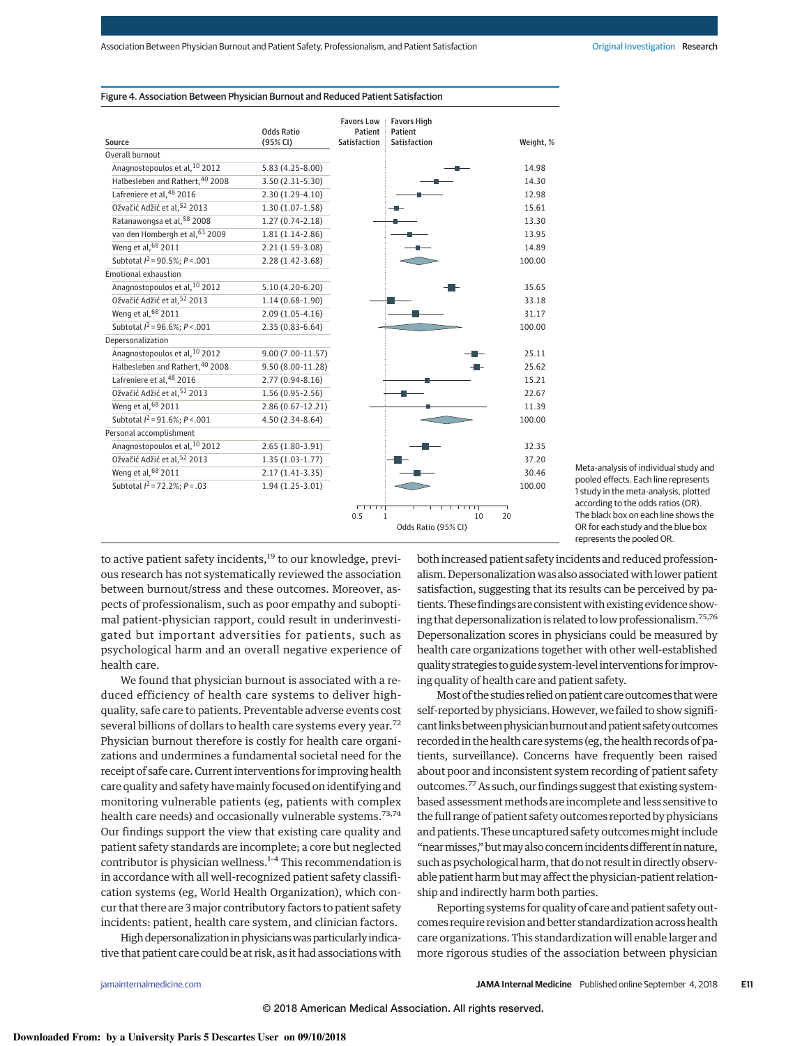|                                           |                               | <b>Favors Low</b>       | <b>Favors High</b>                        |           |
|-------------------------------------------|-------------------------------|-------------------------|-------------------------------------------|-----------|
| Source                                    | <b>Odds Ratio</b><br>(95% CI) | Patient<br>Satisfaction | Patient<br><b>Satisfaction</b>            | Weight, % |
| Overall burnout                           |                               |                         |                                           |           |
| Anagnostopoulos et al, 10 2012            | 5.83 (4.25-8.00)              |                         |                                           | 14.98     |
| Halbesleben and Rathert, 40 2008          | $3.50(2.31-5.30)$             |                         |                                           | 14.30     |
| Lafreniere et al, 48 2016                 | $2.30(1.29-4.10)$             |                         |                                           | 12.98     |
| Ožvačić Adžić et al, 52 2013              | $1.30(1.07-1.58)$             |                         |                                           | 15.61     |
| Ratanawongsa et al, 58 2008               | $1.27(0.74-2.18)$             |                         |                                           | 13.30     |
| van den Hombergh et al, 63 2009           | $1.81(1.14-2.86)$             |                         |                                           | 13.95     |
| Weng et al, 68 2011                       | $2.21(1.59-3.08)$             |                         |                                           | 14.89     |
| Subtotal $I^2$ = 90.5%; $P < 001$         | $2.28(1.42 - 3.68)$           |                         |                                           | 100.00    |
| <b>Emotional exhaustion</b>               |                               |                         |                                           |           |
| Anagnostopoulos et al, <sup>10</sup> 2012 | $5.10(4.20 - 6.20)$           |                         |                                           | 35.65     |
| Ožvačić Adžić et al, 52 2013              | $1.14(0.68-1.90)$             |                         |                                           | 33.18     |
| Weng et al, 68 2011                       | $2.09(1.05 - 4.16)$           |                         |                                           | 31.17     |
| Subtotal $I^2 = 96.6\%$ ; $P < .001$      | $2.35(0.83 - 6.64)$           |                         |                                           | 100.00    |
| Depersonalization                         |                               |                         |                                           |           |
| Anagnostopoulos et al, 10 2012            | $9.00(7.00-11.57)$            |                         |                                           | 25.11     |
| Halbesleben and Rathert, 40 2008          | $9.50(8.00-11.28)$            |                         |                                           | 25.62     |
| Lafreniere et al, 48 2016                 | $2.77(0.94 - 8.16)$           |                         |                                           | 15.21     |
| Ožvačić Adžić et al, 52 2013              | $1.56(0.95-2.56)$             |                         |                                           | 22.67     |
| Weng et al, 68 2011                       | 2.86 (0.67-12.21)             |                         |                                           | 11.39     |
| Subtotal $I^2 = 91.6\%$ ; $P < .001$      | $4.50(2.34-8.64)$             |                         |                                           | 100.00    |
| Personal accomplishment                   |                               |                         |                                           |           |
| Anagnostopoulos et al, 10 2012            | $2.65(1.80-3.91)$             |                         |                                           | 32.35     |
| Ožvačić Adžić et al, 52 2013              | $1.35(1.03-1.77)$             |                         |                                           | 37.20     |
| Weng et al, 68 2011                       | $2.17(1.41-3.35)$             |                         |                                           | 30.46     |
| Subtotal $I^2 = 72.2\%$ ; $P = .03$       | $1.94(1.25-3.01)$             |                         |                                           | 100.00    |
|                                           |                               | 0.5                     | 10<br>$\mathbf{1}$<br>Odds Ratio (95% CI) | 20        |
|                                           |                               |                         |                                           |           |

#### Figure 4. Association Between Physician Burnout and Reduced Patient Satisfaction

Meta-analysis of individual study and pooled effects. Each line represents 1 study in the meta-analysis, plotted according to the odds ratios (OR). The black box on each line shows the OR for each study and the blue box represents the pooled OR.

to active patient safety incidents,<sup>19</sup> to our knowledge, previous research has not systematically reviewed the association between burnout/stress and these outcomes. Moreover, aspects of professionalism, such as poor empathy and suboptimal patient-physician rapport, could result in underinvestigated but important adversities for patients, such as psychological harm and an overall negative experience of health care.

We found that physician burnout is associated with a reduced efficiency of health care systems to deliver highquality, safe care to patients. Preventable adverse events cost several billions of dollars to health care systems every year.<sup>72</sup> Physician burnout therefore is costly for health care organizations and undermines a fundamental societal need for the receipt of safe care. Current interventions for improving health care quality and safety havemainly focused on identifying and monitoring vulnerable patients (eg, patients with complex health care needs) and occasionally vulnerable systems.<sup>73,74</sup> Our findings support the view that existing care quality and patient safety standards are incomplete; a core but neglected contributor is physician wellness.<sup>1-4</sup> This recommendation is in accordance with all well-recognized patient safety classification systems (eg, World Health Organization), which concur that there are 3 major contributory factors to patient safety incidents: patient, health care system, and clinician factors.

High depersonalization in physicians was particularly indicative that patient care could be at risk, as it had associations with both increased patient safety incidents and reduced professionalism. Depersonalization was also associated with lower patient satisfaction, suggesting that its results can be perceived by patients. These findings are consistent with existing evidence showing that depersonalization is related to low professionalism.75,<sup>76</sup> Depersonalization scores in physicians could be measured by health care organizations together with other well-established quality strategies to guide system-level interventions for improving quality of health care and patient safety.

Most of the studies relied on patient care outcomes that were self-reported by physicians. However, we failed to show significant links between physician burnout and patient safety outcomes recorded in the health care systems (eg, the health records of patients, surveillance). Concerns have frequently been raised about poor and inconsistent system recording of patient safety outcomes.77As such, our findings suggest that existing systembased assessment methods are incomplete and less sensitive to the full range of patient safety outcomes reported by physicians and patients. These uncaptured safety outcomes might include "near misses," but may also concern incidents different in nature, such as psychological harm, that do not result in directly observable patient harm but may affect the physician-patient relationship and indirectly harm both parties.

Reporting systems for quality of care and patient safety outcomes require revision and better standardization across health care organizations. This standardization will enable larger and more rigorous studies of the association between physician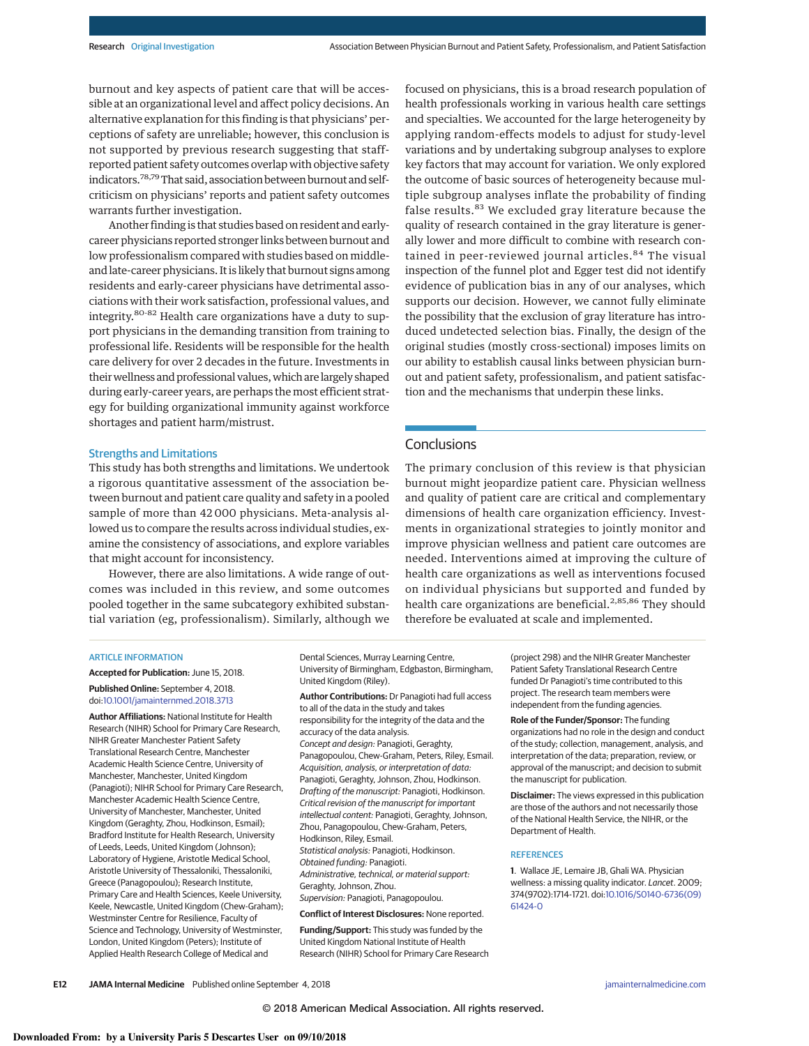burnout and key aspects of patient care that will be accessible at an organizational level and affect policy decisions. An alternative explanation for this finding is that physicians' perceptions of safety are unreliable; however, this conclusion is not supported by previous research suggesting that staffreported patient safety outcomes overlap with objective safety indicators.<sup>78,79</sup> That said, association between burnout and selfcriticism on physicians' reports and patient safety outcomes warrants further investigation.

Another finding is that studies based on resident and earlycareer physicians reported stronger links between burnout and low professionalism compared with studies based on middleand late-career physicians. It is likely that burnout signs among residents and early-career physicians have detrimental associations with their work satisfaction, professional values, and integrity.80-<sup>82</sup> Health care organizations have a duty to support physicians in the demanding transition from training to professional life. Residents will be responsible for the health care delivery for over 2 decades in the future. Investments in their wellness and professional values, which are largely shaped during early-career years, are perhaps the most efficient strategy for building organizational immunity against workforce shortages and patient harm/mistrust.

#### Strengths and Limitations

This study has both strengths and limitations. We undertook a rigorous quantitative assessment of the association between burnout and patient care quality and safety in a pooled sample of more than 42 000 physicians. Meta-analysis allowed us to compare the results across individual studies, examine the consistency of associations, and explore variables that might account for inconsistency.

However, there are also limitations. A wide range of outcomes was included in this review, and some outcomes pooled together in the same subcategory exhibited substantial variation (eg, professionalism). Similarly, although we focused on physicians, this is a broad research population of health professionals working in various health care settings and specialties. We accounted for the large heterogeneity by applying random-effects models to adjust for study-level variations and by undertaking subgroup analyses to explore key factors that may account for variation. We only explored the outcome of basic sources of heterogeneity because multiple subgroup analyses inflate the probability of finding false results.<sup>83</sup> We excluded gray literature because the quality of research contained in the gray literature is generally lower and more difficult to combine with research contained in peer-reviewed journal articles.<sup>84</sup> The visual inspection of the funnel plot and Egger test did not identify evidence of publication bias in any of our analyses, which supports our decision. However, we cannot fully eliminate the possibility that the exclusion of gray literature has introduced undetected selection bias. Finally, the design of the original studies (mostly cross-sectional) imposes limits on our ability to establish causal links between physician burnout and patient safety, professionalism, and patient satisfaction and the mechanisms that underpin these links.

# **Conclusions**

The primary conclusion of this review is that physician burnout might jeopardize patient care. Physician wellness and quality of patient care are critical and complementary dimensions of health care organization efficiency. Investments in organizational strategies to jointly monitor and improve physician wellness and patient care outcomes are needed. Interventions aimed at improving the culture of health care organizations as well as interventions focused on individual physicians but supported and funded by health care organizations are beneficial.<sup>2,85,86</sup> They should therefore be evaluated at scale and implemented.

#### ARTICLE INFORMATION

**Accepted for Publication:** June 15, 2018. **Published Online:** September 4, 2018. doi[:10.1001/jamainternmed.2018.3713](https://jama.jamanetwork.com/article.aspx?doi=10.1001/jamainternmed.2018.3713&utm_campaign=articlePDF%26utm_medium=articlePDFlink%26utm_source=articlePDF%26utm_content=jamainternmed.2018.3713)

**Author Affiliations:** National Institute for Health Research (NIHR) School for Primary Care Research, NIHR Greater Manchester Patient Safety Translational Research Centre, Manchester Academic Health Science Centre, University of Manchester, Manchester, United Kingdom (Panagioti); NIHR School for Primary Care Research, Manchester Academic Health Science Centre, University of Manchester, Manchester, United Kingdom (Geraghty, Zhou, Hodkinson, Esmail); Bradford Institute for Health Research, University of Leeds, Leeds, United Kingdom (Johnson); Laboratory of Hygiene, Aristotle Medical School, Aristotle University of Thessaloniki, Thessaloniki, Greece (Panagopoulou); Research Institute, Primary Care and Health Sciences, Keele University, Keele, Newcastle, United Kingdom (Chew-Graham); Westminster Centre for Resilience, Faculty of Science and Technology, University of Westminster, London, United Kingdom (Peters); Institute of Applied Health Research College of Medical and

Dental Sciences, Murray Learning Centre, University of Birmingham, Edgbaston, Birmingham, United Kingdom (Riley).

**Author Contributions:** Dr Panagioti had full access to all of the data in the study and takes responsibility for the integrity of the data and the accuracy of the data analysis. *Concept and design:* Panagioti, Geraghty, Panagopoulou, Chew-Graham, Peters, Riley, Esmail. *Acquisition, analysis, or interpretation of data:* Panagioti, Geraghty, Johnson, Zhou, Hodkinson. *Drafting of the manuscript:* Panagioti, Hodkinson. *Critical revision of the manuscript for important intellectual content:* Panagioti, Geraghty, Johnson, Zhou, Panagopoulou, Chew-Graham, Peters, Hodkinson, Riley, Esmail. *Statistical analysis:* Panagioti, Hodkinson. *Obtained funding:* Panagioti. *Administrative, technical, or material support:* Geraghty, Johnson, Zhou. *Supervision:* Panagioti, Panagopoulou.

**Conflict of Interest Disclosures:** None reported.

**Funding/Support:** This study was funded by the United Kingdom National Institute of Health Research (NIHR) School for Primary Care Research

(project 298) and the NIHR Greater Manchester Patient Safety Translational Research Centre funded Dr Panagioti's time contributed to this project. The research team members were independent from the funding agencies.

**Role of the Funder/Sponsor:** The funding organizations had no role in the design and conduct of the study; collection, management, analysis, and interpretation of the data; preparation, review, or approval of the manuscript; and decision to submit the manuscript for publication.

**Disclaimer:** The views expressed in this publication are those of the authors and not necessarily those of the National Health Service, the NIHR, or the Department of Health.

#### **REFERENCES**

**1**. Wallace JE, Lemaire JB, Ghali WA. Physician wellness: a missing quality indicator. *Lancet*. 2009; 374(9702):1714-1721. doi[:10.1016/S0140-6736\(09\)](https://dx.doi.org/10.1016/S0140-6736(09)61424-0) [61424-0](https://dx.doi.org/10.1016/S0140-6736(09)61424-0)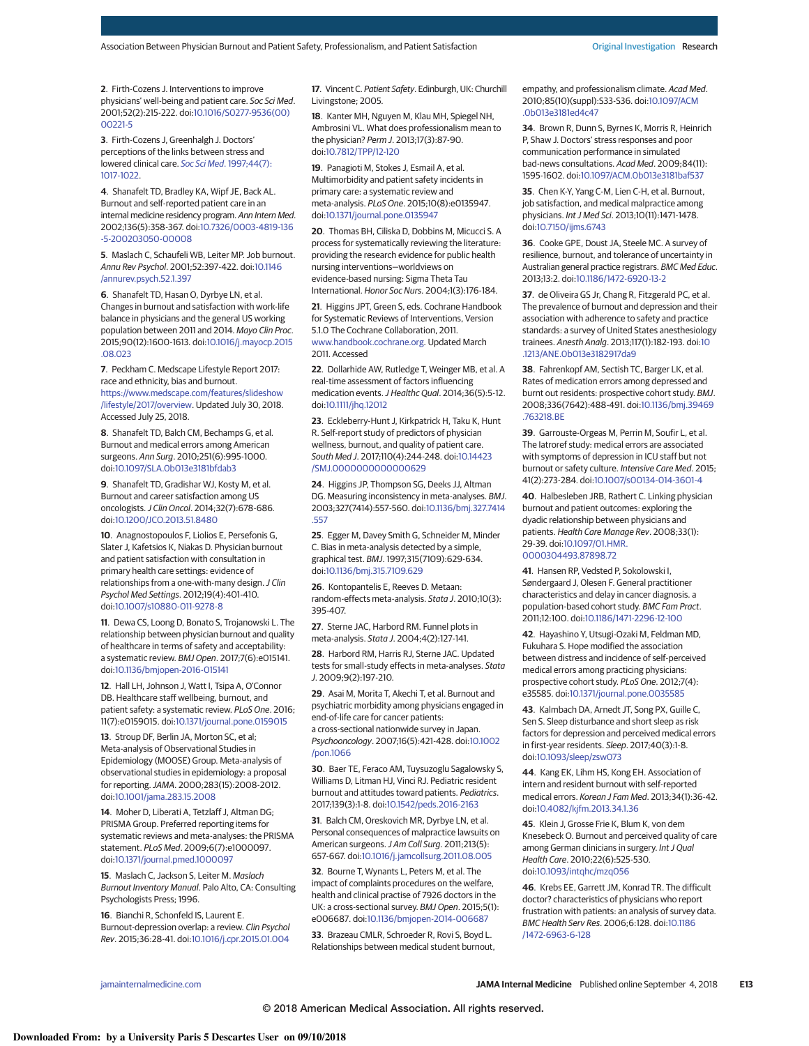**2**. Firth-Cozens J. Interventions to improve physicians' well-being and patient care. *Soc Sci Med*. 2001;52(2):215-222. doi[:10.1016/S0277-9536\(00\)](https://dx.doi.org/10.1016/S0277-9536(00)00221-5) [00221-5](https://dx.doi.org/10.1016/S0277-9536(00)00221-5)

**3**. Firth-Cozens J, Greenhalgh J. Doctors' perceptions of the links between stress and lowered clinical care. *Soc Sci Med*[. 1997;44\(7\):](https://www.ncbi.nlm.nih.gov/pubmed/9089922) [1017-1022.](https://www.ncbi.nlm.nih.gov/pubmed/9089922)

**4**. Shanafelt TD, Bradley KA, Wipf JE, Back AL. Burnout and self-reported patient care in an internal medicine residency program. *Ann Intern Med*. 2002;136(5):358-367. doi[:10.7326/0003-4819-136](https://dx.doi.org/10.7326/0003-4819-136-5-200203050-00008) [-5-200203050-00008](https://dx.doi.org/10.7326/0003-4819-136-5-200203050-00008)

**5**. Maslach C, Schaufeli WB, Leiter MP. Job burnout. *Annu Rev Psychol*. 2001;52:397-422. doi[:10.1146](https://dx.doi.org/10.1146/annurev.psych.52.1.397) [/annurev.psych.52.1.397](https://dx.doi.org/10.1146/annurev.psych.52.1.397)

**6**. Shanafelt TD, Hasan O, Dyrbye LN, et al. Changes in burnout and satisfaction with work-life balance in physicians and the general US working population between 2011 and 2014. *Mayo Clin Proc*. 2015;90(12):1600-1613. doi[:10.1016/j.mayocp.2015](https://dx.doi.org/10.1016/j.mayocp.2015.08.023) [.08.023](https://dx.doi.org/10.1016/j.mayocp.2015.08.023)

**7**. Peckham C. Medscape Lifestyle Report 2017: race and ethnicity, bias and burnout. [https://www.medscape.com/features/slideshow](https://www.medscape.com/features/slideshow/lifestyle/2017/overview) [/lifestyle/2017/overview.](https://www.medscape.com/features/slideshow/lifestyle/2017/overview) Updated July 30, 2018. Accessed July 25, 2018.

**8**. Shanafelt TD, Balch CM, Bechamps G, et al. Burnout and medical errors among American surgeons. *Ann Surg*. 2010;251(6):995-1000. doi[:10.1097/SLA.0b013e3181bfdab3](https://dx.doi.org/10.1097/SLA.0b013e3181bfdab3)

**9**. Shanafelt TD, Gradishar WJ, Kosty M, et al. Burnout and career satisfaction among US oncologists.*J Clin Oncol*. 2014;32(7):678-686. doi[:10.1200/JCO.2013.51.8480](https://dx.doi.org/10.1200/JCO.2013.51.8480)

**10**. Anagnostopoulos F, Liolios E, Persefonis G, Slater J, Kafetsios K, Niakas D. Physician burnout and patient satisfaction with consultation in primary health care settings: evidence of relationships from a one-with-many design.*J Clin Psychol Med Settings*. 2012;19(4):401-410. doi[:10.1007/s10880-011-9278-8](https://dx.doi.org/10.1007/s10880-011-9278-8)

**11**. Dewa CS, Loong D, Bonato S, Trojanowski L. The relationship between physician burnout and quality of healthcare in terms of safety and acceptability: a systematic review. *BMJ Open*. 2017;7(6):e015141. doi[:10.1136/bmjopen-2016-015141](https://dx.doi.org/10.1136/bmjopen-2016-015141)

**12**. Hall LH, Johnson J, Watt I, Tsipa A, O'Connor DB. Healthcare staff wellbeing, burnout, and patient safety: a systematic review. *PLoS One*. 2016; 11(7):e0159015. doi[:10.1371/journal.pone.0159015](https://dx.doi.org/10.1371/journal.pone.0159015)

**13**. Stroup DF, Berlin JA, Morton SC, et al; Meta-analysis of Observational Studies in Epidemiology (MOOSE) Group. Meta-analysis of observational studies in epidemiology: a proposal for reporting.*JAMA*. 2000;283(15):2008-2012. doi[:10.1001/jama.283.15.2008](https://jama.jamanetwork.com/article.aspx?doi=10.1001/jama.283.15.2008&utm_campaign=articlePDF%26utm_medium=articlePDFlink%26utm_source=articlePDF%26utm_content=jamainternmed.2018.3713)

**14**. Moher D, Liberati A, Tetzlaff J, Altman DG; PRISMA Group. Preferred reporting items for systematic reviews and meta-analyses: the PRISMA statement. *PLoS Med*. 2009;6(7):e1000097. doi[:10.1371/journal.pmed.1000097](https://dx.doi.org/10.1371/journal.pmed.1000097)

**15**. Maslach C, Jackson S, Leiter M. *Maslach Burnout Inventory Manual*. Palo Alto, CA: Consulting Psychologists Press; 1996.

**16**. Bianchi R, Schonfeld IS, Laurent E. Burnout-depression overlap: a review. *Clin Psychol Rev*. 2015;36:28-41. doi[:10.1016/j.cpr.2015.01.004](https://dx.doi.org/10.1016/j.cpr.2015.01.004)

**17**. Vincent C. *Patient Safety*. Edinburgh, UK: Churchill Livingstone; 2005.

**18**. Kanter MH, Nguyen M, Klau MH, Spiegel NH, Ambrosini VL. What does professionalism mean to the physician? *Perm J*. 2013;17(3):87-90. doi[:10.7812/TPP/12-120](https://dx.doi.org/10.7812/TPP/12-120)

**19**. Panagioti M, Stokes J, Esmail A, et al. Multimorbidity and patient safety incidents in primary care: a systematic review and meta-analysis. *PLoS One*. 2015;10(8):e0135947. doi[:10.1371/journal.pone.0135947](https://dx.doi.org/10.1371/journal.pone.0135947)

**20**. Thomas BH, Ciliska D, Dobbins M, Micucci S. A process for systematically reviewing the literature: providing the research evidence for public health nursing interventions—worldviews on evidence-based nursing: Sigma Theta Tau International. *Honor Soc Nurs.* 2004;1(3):176-184.

**21**. Higgins JPT, Green S, eds. Cochrane Handbook for Systematic Reviews of Interventions, Version 5.1.0 The Cochrane Collaboration, 2011. [www.handbook.cochrane.org.](http://www.handbook.cochrane.org) Updated March 2011. Accessed

**22**. Dollarhide AW, Rutledge T, Weinger MB, et al. A real-time assessment of factors influencing medication events.*J Healthc Qual*. 2014;36(5):5-12. doi[:10.1111/jhq.12012](https://dx.doi.org/10.1111/jhq.12012)

**23**. Eckleberry-Hunt J, Kirkpatrick H, Taku K, Hunt R. Self-report study of predictors of physician wellness, burnout, and quality of patient care. *South Med J*. 2017;110(4):244-248. doi[:10.14423](https://dx.doi.org/10.14423/SMJ.0000000000000629) [/SMJ.0000000000000629](https://dx.doi.org/10.14423/SMJ.0000000000000629)

**24**. Higgins JP, Thompson SG, Deeks JJ, Altman DG. Measuring inconsistency in meta-analyses. *BMJ*. 2003;327(7414):557-560. doi[:10.1136/bmj.327.7414](https://dx.doi.org/10.1136/bmj.327.7414.557) [.557](https://dx.doi.org/10.1136/bmj.327.7414.557)

**25**. Egger M, Davey Smith G, Schneider M, Minder C. Bias in meta-analysis detected by a simple, graphical test. *BMJ*. 1997;315(7109):629-634. doi[:10.1136/bmj.315.7109.629](https://dx.doi.org/10.1136/bmj.315.7109.629)

**26**. Kontopantelis E, Reeves D. Metaan: random-effects meta-analysis. *Stata J*. 2010;10(3): 395-407.

**27**. Sterne JAC, Harbord RM. Funnel plots in meta-analysis. *Stata J*. 2004;4(2):127-141.

**28**. Harbord RM, Harris RJ, Sterne JAC. Updated tests for small-study effects in meta-analyses. *Stata J*. 2009;9(2):197-210.

**29**. Asai M, Morita T, Akechi T, et al. Burnout and psychiatric morbidity among physicians engaged in end-of-life care for cancer patients: a cross-sectional nationwide survey in Japan. *Psychooncology*. 2007;16(5):421-428. doi[:10.1002](https://dx.doi.org/10.1002/pon.1066) [/pon.1066](https://dx.doi.org/10.1002/pon.1066)

**30**. Baer TE, Feraco AM, Tuysuzoglu Sagalowsky S, Williams D, Litman HJ, Vinci RJ. Pediatric resident burnout and attitudes toward patients. *Pediatrics*. 2017;139(3):1-8. doi[:10.1542/peds.2016-2163](https://dx.doi.org/10.1542/peds.2016-2163)

**31**. Balch CM, Oreskovich MR, Dyrbye LN, et al. Personal consequences of malpractice lawsuits on American surgeons.*J Am Coll Surg*. 2011;213(5): 657-667. doi[:10.1016/j.jamcollsurg.2011.08.005](https://dx.doi.org/10.1016/j.jamcollsurg.2011.08.005)

**32**. Bourne T, Wynants L, Peters M, et al. The impact of complaints procedures on the welfare, health and clinical practise of 7926 doctors in the UK: a cross-sectional survey. *BMJ Open*. 2015;5(1): e006687. doi[:10.1136/bmjopen-2014-006687](https://dx.doi.org/10.1136/bmjopen-2014-006687)

**33**. Brazeau CMLR, Schroeder R, Rovi S, Boyd L. Relationships between medical student burnout, empathy, and professionalism climate. *Acad Med*. 2010;85(10)(suppl):S33-S36. doi[:10.1097/ACM](https://dx.doi.org/10.1097/ACM.0b013e3181ed4c47) [.0b013e3181ed4c47](https://dx.doi.org/10.1097/ACM.0b013e3181ed4c47)

**34**. Brown R, Dunn S, Byrnes K, Morris R, Heinrich P, Shaw J. Doctors' stress responses and poor communication performance in simulated bad-news consultations. *Acad Med*. 2009;84(11): 1595-1602. doi[:10.1097/ACM.0b013e3181baf537](https://dx.doi.org/10.1097/ACM.0b013e3181baf537)

**35**. Chen K-Y, Yang C-M, Lien C-H, et al. Burnout, job satisfaction, and medical malpractice among physicians. *Int J Med Sci*. 2013;10(11):1471-1478. doi[:10.7150/ijms.6743](https://dx.doi.org/10.7150/ijms.6743)

**36**. Cooke GPE, Doust JA, Steele MC. A survey of resilience, burnout, and tolerance of uncertainty in Australian general practice registrars. *BMC Med Educ*. 2013;13:2. doi[:10.1186/1472-6920-13-2](https://dx.doi.org/10.1186/1472-6920-13-2)

**37**. de Oliveira GS Jr, Chang R, Fitzgerald PC, et al. The prevalence of burnout and depression and their association with adherence to safety and practice standards: a survey of United States anesthesiology trainees. *Anesth Analg*. 2013;117(1):182-193. doi[:10](https://dx.doi.org/10.1213/ANE.0b013e3182917da9) [.1213/ANE.0b013e3182917da9](https://dx.doi.org/10.1213/ANE.0b013e3182917da9)

**38**. Fahrenkopf AM, Sectish TC, Barger LK, et al. Rates of medication errors among depressed and burnt out residents: prospective cohort study. *BMJ*. 2008;336(7642):488-491. doi[:10.1136/bmj.39469](https://dx.doi.org/10.1136/bmj.39469.763218.BE) [.763218.BE](https://dx.doi.org/10.1136/bmj.39469.763218.BE)

**39**. Garrouste-Orgeas M, Perrin M, Soufir L, et al. The Iatroref study: medical errors are associated with symptoms of depression in ICU staff but not burnout or safety culture. *Intensive Care Med*. 2015; 41(2):273-284. doi[:10.1007/s00134-014-3601-4](https://dx.doi.org/10.1007/s00134-014-3601-4)

**40**. Halbesleben JRB, Rathert C. Linking physician burnout and patient outcomes: exploring the dyadic relationship between physicians and patients. *Health Care Manage Rev*. 2008;33(1): 29-39. doi[:10.1097/01.HMR.](https://dx.doi.org/10.1097/01.HMR.0000304493.87898.72) [0000304493.87898.72](https://dx.doi.org/10.1097/01.HMR.0000304493.87898.72)

**41**. Hansen RP, Vedsted P, Sokolowski I, Søndergaard J, Olesen F. General practitioner characteristics and delay in cancer diagnosis. a population-based cohort study. *BMC Fam Pract*. 2011;12:100. doi[:10.1186/1471-2296-12-100](https://dx.doi.org/10.1186/1471-2296-12-100)

**42**. Hayashino Y, Utsugi-Ozaki M, Feldman MD, Fukuhara S. Hope modified the association between distress and incidence of self-perceived medical errors among practicing physicians: prospective cohort study. *PLoS One*. 2012;7(4): e35585. doi[:10.1371/journal.pone.0035585](https://dx.doi.org/10.1371/journal.pone.0035585)

**43**. Kalmbach DA, Arnedt JT, Song PX, Guille C, Sen S. Sleep disturbance and short sleep as risk factors for depression and perceived medical errors in first-year residents. *Sleep*. 2017;40(3):1-8. doi[:10.1093/sleep/zsw073](https://dx.doi.org/10.1093/sleep/zsw073)

**44**. Kang EK, Lihm HS, Kong EH. Association of intern and resident burnout with self-reported medical errors. *Korean J Fam Med*. 2013;34(1):36-42. doi[:10.4082/kjfm.2013.34.1.36](https://dx.doi.org/10.4082/kjfm.2013.34.1.36)

**45**. Klein J, Grosse Frie K, Blum K, von dem Knesebeck O. Burnout and perceived quality of care among German clinicians in surgery. *Int J Qual Health Care*. 2010;22(6):525-530. doi[:10.1093/intqhc/mzq056](https://dx.doi.org/10.1093/intqhc/mzq056)

**46**. Krebs EE, Garrett JM, Konrad TR. The difficult doctor? characteristics of physicians who report frustration with patients: an analysis of survey data. *BMC Health Serv Res*. 2006;6:128. doi[:10.1186](https://dx.doi.org/10.1186/1472-6963-6-128) [/1472-6963-6-128](https://dx.doi.org/10.1186/1472-6963-6-128)